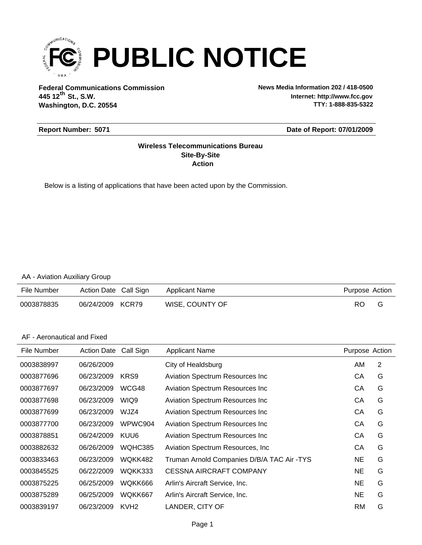

**Federal Communications Commission News Media Information 202 / 418-0500 Washington, D.C. 20554 th 445 12 St., S.W.**

**Internet: http://www.fcc.gov TTY: 1-888-835-5322**

#### **Report Number: 5071**

#### **Date of Report: 07/01/2009**

#### **Action Site-By-Site Wireless Telecommunications Bureau**

Below is a listing of applications that have been acted upon by the Commission.

#### AA - Aviation Auxiliary Group

| File Number | Action Date Call Sign | Applicant Name  | Purpose Action |  |
|-------------|-----------------------|-----------------|----------------|--|
| 0003878835  | 06/24/2009 KCR79      | WISE, COUNTY OF | RO.            |  |

### AF - Aeronautical and Fixed

| File Number | <b>Action Date</b> | Call Sign        | <b>Applicant Name</b>                      | Purpose Action |   |
|-------------|--------------------|------------------|--------------------------------------------|----------------|---|
| 0003838997  | 06/26/2009         |                  | City of Healdsburg                         | AM             | 2 |
| 0003877696  | 06/23/2009         | KRS9             | <b>Aviation Spectrum Resources Inc.</b>    | СA             | G |
| 0003877697  | 06/23/2009         | WCG48            | <b>Aviation Spectrum Resources Inc.</b>    | СA             | G |
| 0003877698  | 06/23/2009         | WIQ9             | <b>Aviation Spectrum Resources Inc.</b>    | СA             | G |
| 0003877699  | 06/23/2009         | WJZ4             | <b>Aviation Spectrum Resources Inc.</b>    | CA             | G |
| 0003877700  | 06/23/2009         | WPWC904          | <b>Aviation Spectrum Resources Inc.</b>    | СA             | G |
| 0003878851  | 06/24/2009         | KUU6             | <b>Aviation Spectrum Resources Inc.</b>    | СA             | G |
| 0003882632  | 06/26/2009         | WQHC385          | Aviation Spectrum Resources, Inc.          | СA             | G |
| 0003833463  | 06/23/2009         | WQKK482          | Truman Arnold Companies D/B/A TAC Air -TYS | <b>NE</b>      | G |
| 0003845525  | 06/22/2009         | WQKK333          | <b>CESSNA AIRCRAFT COMPANY</b>             | NE.            | G |
| 0003875225  | 06/25/2009         | WQKK666          | Arlin's Aircraft Service, Inc.             | <b>NE</b>      | G |
| 0003875289  | 06/25/2009         | WQKK667          | Arlin's Aircraft Service, Inc.             | NE.            | G |
| 0003839197  | 06/23/2009         | KVH <sub>2</sub> | LANDER, CITY OF                            | <b>RM</b>      | G |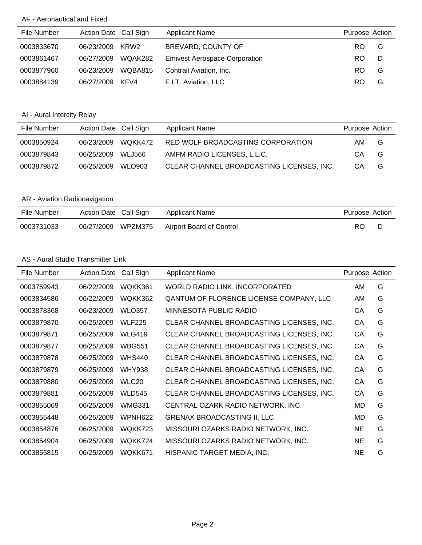## AF - Aeronautical and Fixed

| File Number | Action Date Call Sign |         | <b>Applicant Name</b>                | Purpose Action |   |
|-------------|-----------------------|---------|--------------------------------------|----------------|---|
| 0003833670  | 06/23/2009            | KRW2    | BREVARD, COUNTY OF                   | RO.            | G |
| 0003861467  | 06/27/2009            | WQAK282 | <b>Emivest Aerospace Corporation</b> | RO.            | D |
| 0003877960  | 06/23/2009            | WQBA815 | Contrail Aviation, Inc.              | RO.            | G |
| 0003884139  | 06/27/2009            | KFV4    | F.I.T. Aviation, LLC                 | RO.            | G |

# AI - Aural Intercity Relay

| File Number | Action Date Call Sign |               | Applicant Name                            | Purpose Action |   |
|-------------|-----------------------|---------------|-------------------------------------------|----------------|---|
| 0003850924  | 06/23/2009            | WOKK472       | RED WOLF BROADCASTING CORPORATION         | AM.            | G |
| 0003879843  | 06/25/2009            | WLJ566        | AMFM RADIO LICENSES, L.L.C.               | CА             | G |
| 0003879872  | 06/25/2009            | <b>WLO903</b> | CLEAR CHANNEL BROADCASTING LICENSES, INC. | CА             | G |

# AR - Aviation Radionavigation

| File Number | Action Date Call Sign |         | Applicant Name           | Purpose Action |  |
|-------------|-----------------------|---------|--------------------------|----------------|--|
| 0003731033  | 06/27/2009            | WPZM375 | Airport Board of Control | RO             |  |

### AS - Aural Studio Transmitter Link

| File Number | <b>Action Date</b> | Call Sign         | <b>Applicant Name</b>                          | Purpose Action |   |
|-------------|--------------------|-------------------|------------------------------------------------|----------------|---|
| 0003759943  | 06/22/2009         | WQKK361           | WORLD RADIO LINK, INCORPORATED                 | AM             | G |
| 0003834586  | 06/22/2009         | WQKK362           | <b>QANTUM OF FLORENCE LICENSE COMPANY, LLC</b> | AM             | G |
| 0003878368  | 06/23/2009         | <b>WLO357</b>     | MINNESOTA PUBLIC RADIO                         | СA             | G |
| 0003879870  | 06/25/2009         | <b>WLF225</b>     | CLEAR CHANNEL BROADCASTING LICENSES, INC.      | CA             | G |
| 0003879871  | 06/25/2009         | <b>WLG419</b>     | CLEAR CHANNEL BROADCASTING LICENSES, INC.      | CA             | G |
| 0003879877  | 06/25/2009         | <b>WBG551</b>     | CLEAR CHANNEL BROADCASTING LICENSES, INC.      | СA             | G |
| 0003879878  | 06/25/2009         | <b>WHS440</b>     | CLEAR CHANNEL BROADCASTING LICENSES, INC.      | CA             | G |
| 0003879879  | 06/25/2009         | <b>WHY938</b>     | CLEAR CHANNEL BROADCASTING LICENSES, INC.      | CA             | G |
| 0003879880  | 06/25/2009         | WLC <sub>20</sub> | CLEAR CHANNEL BROADCASTING LICENSES, INC.      | СA             | G |
| 0003879881  | 06/25/2009         | <b>WLD545</b>     | CLEAR CHANNEL BROADCASTING LICENSES, INC.      | CA             | G |
| 0003855069  | 06/25/2009         | <b>WMG331</b>     | CENTRAL OZARK RADIO NETWORK, INC.              | MD             | G |
| 0003855448  | 06/25/2009         | WPNH622           | <b>GRENAX BROADCASTING II, LLC</b>             | MD             | G |
| 0003854876  | 06/25/2009         | WQKK723           | MISSOURI OZARKS RADIO NETWORK, INC.            | NE.            | G |
| 0003854904  | 06/25/2009         | WQKK724           | MISSOURI OZARKS RADIO NETWORK, INC.            | NE.            | G |
| 0003855815  | 06/25/2009         | WQKK671           | HISPANIC TARGET MEDIA, INC.                    | NE             | G |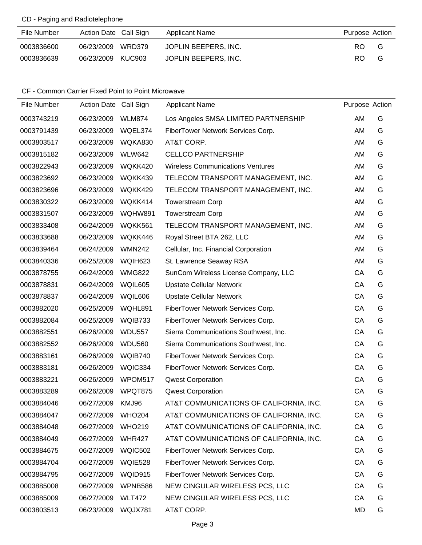## CD - Paging and Radiotelephone

| File Number | Action Date Call Sign | Applicant Name       | Purpose Action |     |
|-------------|-----------------------|----------------------|----------------|-----|
| 0003836600  | 06/23/2009 WRD379     | JOPLIN BEEPERS, INC. | RO.            | - G |
| 0003836639  | 06/23/2009 KUC903     | JOPLIN BEEPERS, INC. | RO.            | G   |

| File Number | Action Date Call Sign |               | <b>Applicant Name</b>                   | Purpose Action |   |
|-------------|-----------------------|---------------|-----------------------------------------|----------------|---|
| 0003743219  | 06/23/2009            | <b>WLM874</b> | Los Angeles SMSA LIMITED PARTNERSHIP    | AM             | G |
| 0003791439  | 06/23/2009            | WQEL374       | FiberTower Network Services Corp.       | AM             | G |
| 0003803517  | 06/23/2009            | WQKA830       | AT&T CORP.                              | AM             | G |
| 0003815182  | 06/23/2009            | <b>WLW642</b> | <b>CELLCO PARTNERSHIP</b>               | AM             | G |
| 0003822943  | 06/23/2009            | WQKK420       | <b>Wireless Communications Ventures</b> | AM             | G |
| 0003823692  | 06/23/2009            | WQKK439       | TELECOM TRANSPORT MANAGEMENT, INC.      | AM             | G |
| 0003823696  | 06/23/2009            | WQKK429       | TELECOM TRANSPORT MANAGEMENT, INC.      | AM             | G |
| 0003830322  | 06/23/2009            | WQKK414       | <b>Towerstream Corp</b>                 | AM             | G |
| 0003831507  | 06/23/2009            | WQHW891       | <b>Towerstream Corp</b>                 | AM             | G |
| 0003833408  | 06/24/2009            | WQKK561       | TELECOM TRANSPORT MANAGEMENT, INC.      | AM             | G |
| 0003833688  | 06/23/2009            | WQKK446       | Royal Street BTA 262, LLC               | AM             | G |
| 0003839464  | 06/24/2009            | <b>WMN242</b> | Cellular, Inc. Financial Corporation    | AM             | G |
| 0003840336  | 06/25/2009            | WQIH623       | St. Lawrence Seaway RSA                 | AM             | G |
| 0003878755  | 06/24/2009            | <b>WMG822</b> | SunCom Wireless License Company, LLC    | CA             | G |
| 0003878831  | 06/24/2009            | WQIL605       | <b>Upstate Cellular Network</b>         | CA             | G |
| 0003878837  | 06/24/2009            | WQIL606       | <b>Upstate Cellular Network</b>         | CA             | G |
| 0003882020  | 06/25/2009            | WQHL891       | FiberTower Network Services Corp.       | CA             | G |
| 0003882084  | 06/25/2009            | WQIB733       | FiberTower Network Services Corp.       | CA             | G |
| 0003882551  | 06/26/2009            | <b>WDU557</b> | Sierra Communications Southwest, Inc.   | CA             | G |
| 0003882552  | 06/26/2009            | <b>WDU560</b> | Sierra Communications Southwest, Inc.   | CA             | G |
| 0003883161  | 06/26/2009            | WQIB740       | FiberTower Network Services Corp.       | CA             | G |
| 0003883181  | 06/26/2009            | WQIC334       | FiberTower Network Services Corp.       | CA             | G |
| 0003883221  | 06/26/2009            | WPOM517       | <b>Qwest Corporation</b>                | CA             | G |
| 0003883289  | 06/26/2009            | WPQT875       | <b>Qwest Corporation</b>                | CA             | G |
| 0003884046  | 06/27/2009            | KMJ96         | AT&T COMMUNICATIONS OF CALIFORNIA, INC. | CA             | G |
| 0003884047  | 06/27/2009            | <b>WHO204</b> | AT&T COMMUNICATIONS OF CALIFORNIA, INC. | CA             | G |
| 0003884048  | 06/27/2009            | <b>WHO219</b> | AT&T COMMUNICATIONS OF CALIFORNIA, INC. | CA             | G |
| 0003884049  | 06/27/2009            | <b>WHR427</b> | AT&T COMMUNICATIONS OF CALIFORNIA, INC. | CA             | G |
| 0003884675  | 06/27/2009            | WQIC502       | FiberTower Network Services Corp.       | CA             | G |
| 0003884704  | 06/27/2009            | WQIE528       | FiberTower Network Services Corp.       | CA             | G |
| 0003884795  | 06/27/2009            | WQID915       | FiberTower Network Services Corp.       | CA             | G |
| 0003885008  | 06/27/2009            | WPNB586       | NEW CINGULAR WIRELESS PCS, LLC          | CA             | G |
| 0003885009  | 06/27/2009            | <b>WLT472</b> | NEW CINGULAR WIRELESS PCS, LLC          | CA             | G |
| 0003803513  | 06/23/2009            | WQJX781       | AT&T CORP.                              | MD             | G |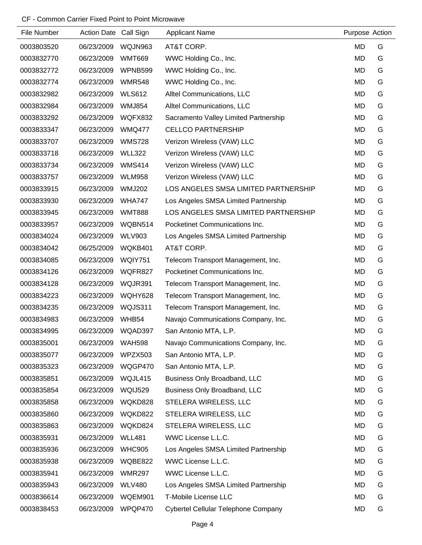| File Number | Action Date Call Sign |                | <b>Applicant Name</b>                 | Purpose Action |   |
|-------------|-----------------------|----------------|---------------------------------------|----------------|---|
| 0003803520  | 06/23/2009            | WQJN963        | AT&T CORP.                            | MD             | G |
| 0003832770  | 06/23/2009            | <b>WMT669</b>  | WWC Holding Co., Inc.                 | MD             | G |
| 0003832772  | 06/23/2009            | WPNB599        | WWC Holding Co., Inc.                 | MD             | G |
| 0003832774  | 06/23/2009            | <b>WMR548</b>  | WWC Holding Co., Inc.                 | <b>MD</b>      | G |
| 0003832982  | 06/23/2009            | <b>WLS612</b>  | Alltel Communications, LLC            | MD             | G |
| 0003832984  | 06/23/2009            | <b>WMJ854</b>  | Alltel Communications, LLC            | <b>MD</b>      | G |
| 0003833292  | 06/23/2009            | WQFX832        | Sacramento Valley Limited Partnership | MD             | G |
| 0003833347  | 06/23/2009            | <b>WMQ477</b>  | <b>CELLCO PARTNERSHIP</b>             | MD             | G |
| 0003833707  | 06/23/2009            | <b>WMS728</b>  | Verizon Wireless (VAW) LLC            | <b>MD</b>      | G |
| 0003833718  | 06/23/2009            | <b>WLL322</b>  | Verizon Wireless (VAW) LLC            | MD             | G |
| 0003833734  | 06/23/2009            | <b>WMS414</b>  | Verizon Wireless (VAW) LLC            | MD             | G |
| 0003833757  | 06/23/2009            | <b>WLM958</b>  | Verizon Wireless (VAW) LLC            | MD             | G |
| 0003833915  | 06/23/2009            | <b>WMJ202</b>  | LOS ANGELES SMSA LIMITED PARTNERSHIP  | MD             | G |
| 0003833930  | 06/23/2009            | <b>WHA747</b>  | Los Angeles SMSA Limited Partnership  | MD             | G |
| 0003833945  | 06/23/2009            | <b>WMT888</b>  | LOS ANGELES SMSA LIMITED PARTNERSHIP  | MD             | G |
| 0003833957  | 06/23/2009            | WQBN514        | Pocketinet Communications Inc.        | MD             | G |
| 0003834024  | 06/23/2009            | <b>WLV903</b>  | Los Angeles SMSA Limited Partnership  | MD             | G |
| 0003834042  | 06/25/2009            | WQKB401        | AT&T CORP.                            | MD             | G |
| 0003834085  | 06/23/2009            | WQIY751        | Telecom Transport Management, Inc.    | MD             | G |
| 0003834126  | 06/23/2009            | WQFR827        | Pocketinet Communications Inc.        | MD             | G |
| 0003834128  | 06/23/2009            | WQJR391        | Telecom Transport Management, Inc.    | MD             | G |
| 0003834223  | 06/23/2009            | WQHY628        | Telecom Transport Management, Inc.    | MD             | G |
| 0003834235  | 06/23/2009            | WQJS311        | Telecom Transport Management, Inc.    | MD             | G |
| 0003834983  | 06/23/2009            | WHB54          | Navajo Communications Company, Inc.   | <b>MD</b>      | G |
| 0003834995  | 06/23/2009            | WQAD397        | San Antonio MTA, L.P.                 | <b>MD</b>      | G |
| 0003835001  | 06/23/2009            | <b>WAH598</b>  | Navajo Communications Company, Inc.   | <b>MD</b>      | G |
| 0003835077  | 06/23/2009            | WPZX503        | San Antonio MTA, L.P.                 | MD             | G |
| 0003835323  | 06/23/2009            | WQGP470        | San Antonio MTA, L.P.                 | MD             | G |
| 0003835851  | 06/23/2009            | WQJL415        | Business Only Broadband, LLC          | MD             | G |
| 0003835854  | 06/23/2009            | <b>WQIJ529</b> | Business Only Broadband, LLC          | MD             | G |
| 0003835858  | 06/23/2009            | WQKD828        | STELERA WIRELESS, LLC                 | MD             | G |
| 0003835860  | 06/23/2009            | WQKD822        | STELERA WIRELESS, LLC                 | MD             | G |
| 0003835863  | 06/23/2009            | WQKD824        | STELERA WIRELESS, LLC                 | <b>MD</b>      | G |
| 0003835931  | 06/23/2009            | <b>WLL481</b>  | WWC License L.L.C.                    | <b>MD</b>      | G |
| 0003835936  | 06/23/2009            | <b>WHC905</b>  | Los Angeles SMSA Limited Partnership  | MD             | G |
| 0003835938  | 06/23/2009            | WQBE822        | WWC License L.L.C.                    | MD             | G |
| 0003835941  | 06/23/2009            | <b>WMR297</b>  | WWC License L.L.C.                    | MD             | G |
| 0003835943  | 06/23/2009            | <b>WLV480</b>  | Los Angeles SMSA Limited Partnership  | MD             | G |
| 0003836614  | 06/23/2009            | WQEM901        | T-Mobile License LLC                  | MD             | G |
| 0003838453  | 06/23/2009            | WPQP470        | Cybertel Cellular Telephone Company   | MD             | G |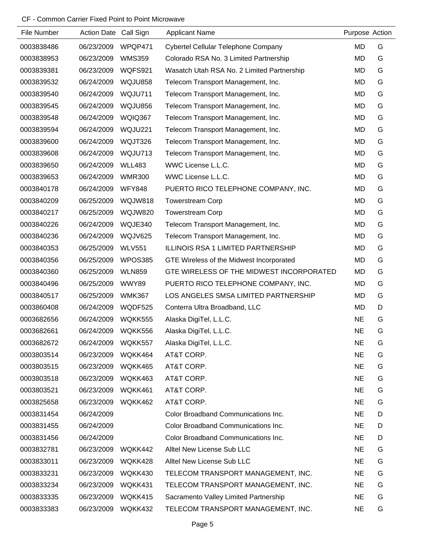| File Number | <b>Action Date</b> | Call Sign      | <b>Applicant Name</b>                      | Purpose Action |   |
|-------------|--------------------|----------------|--------------------------------------------|----------------|---|
| 0003838486  | 06/23/2009         | WPQP471        | Cybertel Cellular Telephone Company        | <b>MD</b>      | G |
| 0003838953  | 06/23/2009         | <b>WMS359</b>  | Colorado RSA No. 3 Limited Partnership     | <b>MD</b>      | G |
| 0003839381  | 06/23/2009         | <b>WQFS921</b> | Wasatch Utah RSA No. 2 Limited Partnership | MD             | G |
| 0003839532  | 06/24/2009         | WQJU858        | Telecom Transport Management, Inc.         | <b>MD</b>      | G |
| 0003839540  | 06/24/2009         | WQJU711        | Telecom Transport Management, Inc.         | <b>MD</b>      | G |
| 0003839545  | 06/24/2009         | WQJU856        | Telecom Transport Management, Inc.         | <b>MD</b>      | G |
| 0003839548  | 06/24/2009         | WQIQ367        | Telecom Transport Management, Inc.         | <b>MD</b>      | G |
| 0003839594  | 06/24/2009         | WQJU221        | Telecom Transport Management, Inc.         | <b>MD</b>      | G |
| 0003839600  | 06/24/2009         | WQJT326        | Telecom Transport Management, Inc.         | <b>MD</b>      | G |
| 0003839608  | 06/24/2009         | WQJU713        | Telecom Transport Management, Inc.         | <b>MD</b>      | G |
| 0003839650  | 06/24/2009         | <b>WLL483</b>  | WWC License L.L.C.                         | <b>MD</b>      | G |
| 0003839653  | 06/24/2009         | <b>WMR300</b>  | WWC License L.L.C.                         | <b>MD</b>      | G |
| 0003840178  | 06/24/2009         | <b>WFY848</b>  | PUERTO RICO TELEPHONE COMPANY, INC.        | <b>MD</b>      | G |
| 0003840209  | 06/25/2009         | <b>WQJW818</b> | <b>Towerstream Corp</b>                    | <b>MD</b>      | G |
| 0003840217  | 06/25/2009         | <b>WQJW820</b> | <b>Towerstream Corp</b>                    | <b>MD</b>      | G |
| 0003840226  | 06/24/2009         | WQJE340        | Telecom Transport Management, Inc.         | <b>MD</b>      | G |
| 0003840236  | 06/24/2009         | WQJV625        | Telecom Transport Management, Inc.         | <b>MD</b>      | G |
| 0003840353  | 06/25/2009         | <b>WLV551</b>  | ILLINOIS RSA 1 LIMITED PARTNERSHIP         | <b>MD</b>      | G |
| 0003840356  | 06/25/2009         | WPOS385        | GTE Wireless of the Midwest Incorporated   | MD             | G |
| 0003840360  | 06/25/2009         | <b>WLN859</b>  | GTE WIRELESS OF THE MIDWEST INCORPORATED   | <b>MD</b>      | G |
| 0003840496  | 06/25/2009         | WWY89          | PUERTO RICO TELEPHONE COMPANY, INC.        | <b>MD</b>      | G |
| 0003840517  | 06/25/2009         | <b>WMK367</b>  | LOS ANGELES SMSA LIMITED PARTNERSHIP       | MD             | G |
| 0003860408  | 06/24/2009         | WQDF525        | Conterra Ultra Broadband, LLC              | <b>MD</b>      | D |
| 0003682656  | 06/24/2009         | WQKK555        | Alaska DigiTel, L.L.C.                     | <b>NE</b>      | G |
| 0003682661  | 06/24/2009         | WQKK556        | Alaska DigiTel, L.L.C.                     | <b>NE</b>      | G |
| 0003682672  | 06/24/2009         | WQKK557        | Alaska DigiTel, L.L.C.                     | <b>NE</b>      | G |
| 0003803514  | 06/23/2009         | WQKK464        | AT&T CORP.                                 | <b>NE</b>      | G |
| 0003803515  | 06/23/2009         | WQKK465        | AT&T CORP.                                 | <b>NE</b>      | G |
| 0003803518  | 06/23/2009         | WQKK463        | AT&T CORP.                                 | <b>NE</b>      | G |
| 0003803521  | 06/23/2009         | WQKK461        | AT&T CORP.                                 | <b>NE</b>      | G |
| 0003825658  | 06/23/2009         | WQKK462        | AT&T CORP.                                 | <b>NE</b>      | G |
| 0003831454  | 06/24/2009         |                | Color Broadband Communications Inc.        | <b>NE</b>      | D |
| 0003831455  | 06/24/2009         |                | Color Broadband Communications Inc.        | <b>NE</b>      | D |
| 0003831456  | 06/24/2009         |                | Color Broadband Communications Inc.        | <b>NE</b>      | D |
| 0003832781  | 06/23/2009         | WQKK442        | Alltel New License Sub LLC                 | <b>NE</b>      | G |
| 0003833011  | 06/23/2009         | WQKK428        | Alltel New License Sub LLC                 | <b>NE</b>      | G |
| 0003833231  | 06/23/2009         | WQKK430        | TELECOM TRANSPORT MANAGEMENT, INC.         | <b>NE</b>      | G |
| 0003833234  | 06/23/2009         | WQKK431        | TELECOM TRANSPORT MANAGEMENT, INC.         | <b>NE</b>      | G |
| 0003833335  | 06/23/2009         | WQKK415        | Sacramento Valley Limited Partnership      | <b>NE</b>      | G |
| 0003833383  | 06/23/2009         | WQKK432        | TELECOM TRANSPORT MANAGEMENT, INC.         | <b>NE</b>      | G |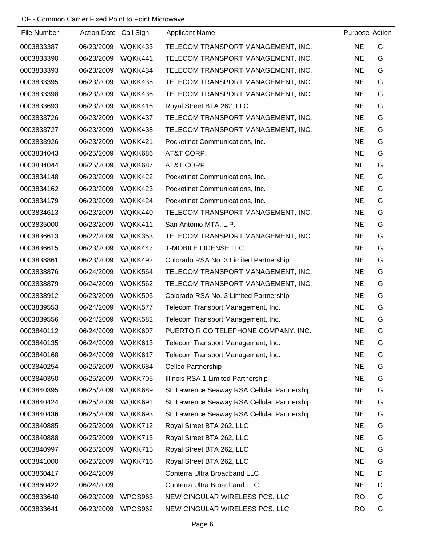| File Number | Action Date Call Sign |         | <b>Applicant Name</b>                        | Purpose Action |   |
|-------------|-----------------------|---------|----------------------------------------------|----------------|---|
| 0003833387  | 06/23/2009            | WQKK433 | TELECOM TRANSPORT MANAGEMENT, INC.           | <b>NE</b>      | G |
| 0003833390  | 06/23/2009            | WQKK441 | TELECOM TRANSPORT MANAGEMENT, INC.           | <b>NE</b>      | G |
| 0003833393  | 06/23/2009            | WQKK434 | TELECOM TRANSPORT MANAGEMENT, INC.           | <b>NE</b>      | G |
| 0003833395  | 06/23/2009            | WQKK435 | TELECOM TRANSPORT MANAGEMENT, INC.           | <b>NE</b>      | G |
| 0003833398  | 06/23/2009            | WQKK436 | TELECOM TRANSPORT MANAGEMENT, INC.           | <b>NE</b>      | G |
| 0003833693  | 06/23/2009            | WQKK416 | Royal Street BTA 262, LLC                    | <b>NE</b>      | G |
| 0003833726  | 06/23/2009            | WQKK437 | TELECOM TRANSPORT MANAGEMENT, INC.           | <b>NE</b>      | G |
| 0003833727  | 06/23/2009            | WQKK438 | TELECOM TRANSPORT MANAGEMENT, INC.           | <b>NE</b>      | G |
| 0003833926  | 06/23/2009            | WQKK421 | Pocketinet Communications, Inc.              | <b>NE</b>      | G |
| 0003834043  | 06/25/2009            | WQKK686 | AT&T CORP.                                   | <b>NE</b>      | G |
| 0003834044  | 06/25/2009            | WQKK687 | AT&T CORP.                                   | <b>NE</b>      | G |
| 0003834148  | 06/23/2009            | WQKK422 | Pocketinet Communications, Inc.              | <b>NE</b>      | G |
| 0003834162  | 06/23/2009            | WQKK423 | Pocketinet Communications, Inc.              | <b>NE</b>      | G |
| 0003834179  | 06/23/2009            | WQKK424 | Pocketinet Communications, Inc.              | <b>NE</b>      | G |
| 0003834613  | 06/23/2009            | WQKK440 | TELECOM TRANSPORT MANAGEMENT, INC.           | <b>NE</b>      | G |
| 0003835000  | 06/23/2009            | WQKK411 | San Antonio MTA, L.P.                        | <b>NE</b>      | G |
| 0003836613  | 06/22/2009            | WQKK353 | TELECOM TRANSPORT MANAGEMENT, INC.           | <b>NE</b>      | G |
| 0003836615  | 06/23/2009            | WQKK447 | <b>T-MOBILE LICENSE LLC</b>                  | <b>NE</b>      | G |
| 0003838861  | 06/23/2009            | WQKK492 | Colorado RSA No. 3 Limited Partnership       | <b>NE</b>      | G |
| 0003838876  | 06/24/2009            | WQKK564 | TELECOM TRANSPORT MANAGEMENT, INC.           | <b>NE</b>      | G |
| 0003838879  | 06/24/2009            | WQKK562 | TELECOM TRANSPORT MANAGEMENT, INC.           | <b>NE</b>      | G |
| 0003838912  | 06/23/2009            | WQKK505 | Colorado RSA No. 3 Limited Partnership       | <b>NE</b>      | G |
| 0003839553  | 06/24/2009            | WQKK577 | Telecom Transport Management, Inc.           | <b>NE</b>      | G |
| 0003839556  | 06/24/2009            | WQKK582 | Telecom Transport Management, Inc.           | <b>NE</b>      | G |
| 0003840112  | 06/24/2009            | WQKK607 | PUERTO RICO TELEPHONE COMPANY, INC.          | <b>NE</b>      | G |
| 0003840135  | 06/24/2009            | WQKK613 | Telecom Transport Management, Inc.           | <b>NE</b>      | G |
| 0003840168  | 06/24/2009            | WQKK617 | Telecom Transport Management, Inc.           | <b>NE</b>      | G |
| 0003840254  | 06/25/2009            | WQKK684 | Cellco Partnership                           | <b>NE</b>      | G |
| 0003840350  | 06/25/2009            | WQKK705 | Illinois RSA 1 Limited Partnership           | <b>NE</b>      | G |
| 0003840395  | 06/25/2009            | WQKK689 | St. Lawrence Seaway RSA Cellular Partnership | <b>NE</b>      | G |
| 0003840424  | 06/25/2009            | WQKK691 | St. Lawrence Seaway RSA Cellular Partnership | <b>NE</b>      | G |
| 0003840436  | 06/25/2009            | WQKK693 | St. Lawrence Seaway RSA Cellular Partnership | <b>NE</b>      | G |
| 0003840885  | 06/25/2009            | WQKK712 | Royal Street BTA 262, LLC                    | <b>NE</b>      | G |
| 0003840888  | 06/25/2009            | WQKK713 | Royal Street BTA 262, LLC                    | <b>NE</b>      | G |
| 0003840997  | 06/25/2009            | WQKK715 | Royal Street BTA 262, LLC                    | <b>NE</b>      | G |
| 0003841000  | 06/25/2009            | WQKK716 | Royal Street BTA 262, LLC                    | <b>NE</b>      | G |
| 0003860417  | 06/24/2009            |         | Conterra Ultra Broadband LLC                 | <b>NE</b>      | D |
| 0003860422  | 06/24/2009            |         | Conterra Ultra Broadband LLC                 | <b>NE</b>      | D |
| 0003833640  | 06/23/2009            | WPOS963 | NEW CINGULAR WIRELESS PCS, LLC               | <b>RO</b>      | G |
| 0003833641  | 06/23/2009            | WPOS962 | NEW CINGULAR WIRELESS PCS, LLC               | <b>RO</b>      | G |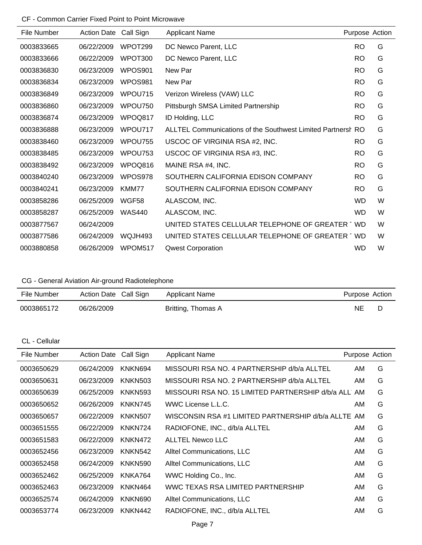| File Number | <b>Action Date</b> | Call Sign     | <b>Applicant Name</b>                                       | Purpose Action |   |
|-------------|--------------------|---------------|-------------------------------------------------------------|----------------|---|
| 0003833665  | 06/22/2009         | WPOT299       | DC Newco Parent, LLC                                        | <b>RO</b>      | G |
| 0003833666  | 06/22/2009         | WPOT300       | DC Newco Parent, LLC                                        | <b>RO</b>      | G |
| 0003836830  | 06/23/2009         | WPOS901       | New Par                                                     | <b>RO</b>      | G |
| 0003836834  | 06/23/2009         | WPOS981       | New Par                                                     | <b>RO</b>      | G |
| 0003836849  | 06/23/2009         | WPOU715       | Verizon Wireless (VAW) LLC                                  | <b>RO</b>      | G |
| 0003836860  | 06/23/2009         | WPOU750       | Pittsburgh SMSA Limited Partnership                         | <b>RO</b>      | G |
| 0003836874  | 06/23/2009         | WPOQ817       | ID Holding, LLC                                             | <b>RO</b>      | G |
| 0003836888  | 06/23/2009         | WPOU717       | ALLTEL Communications of the Southwest Limited Partnersh RO |                | G |
| 0003838460  | 06/23/2009         | WPOU755       | USCOC OF VIRGINIA RSA #2, INC.                              | <b>RO</b>      | G |
| 0003838485  | 06/23/2009         | WPOU753       | USCOC OF VIRGINIA RSA #3, INC.                              | <b>RO</b>      | G |
| 0003838492  | 06/23/2009         | WPOQ816       | MAINE RSA #4, INC.                                          | <b>RO</b>      | G |
| 0003840240  | 06/23/2009         | WPOS978       | SOUTHERN CALIFORNIA EDISON COMPANY                          | <b>RO</b>      | G |
| 0003840241  | 06/23/2009         | KMM77         | SOUTHERN CALIFORNIA EDISON COMPANY                          | <b>RO</b>      | G |
| 0003858286  | 06/25/2009         | WGF58         | ALASCOM, INC.                                               | <b>WD</b>      | W |
| 0003858287  | 06/25/2009         | <b>WAS440</b> | ALASCOM, INC.                                               | <b>WD</b>      | W |
| 0003877567  | 06/24/2009         |               | UNITED STATES CELLULAR TELEPHONE OF GREATER WD              |                | W |
| 0003877586  | 06/24/2009         | WQJH493       | UNITED STATES CELLULAR TELEPHONE OF GREATER WD              |                | W |
| 0003880858  | 06/26/2009         | WPOM517       | <b>Qwest Corporation</b>                                    | <b>WD</b>      | W |

CG - General Aviation Air-ground Radiotelephone

| File Number | Action Date Call Sign | Applicant Name     | Purpose Action |  |
|-------------|-----------------------|--------------------|----------------|--|
| 0003865172  | 06/26/2009            | Britting, Thomas A | NE             |  |

CL - Cellular

| File Number | <b>Action Date</b> | Call Sign      | <b>Applicant Name</b>                                | Purpose Action |   |
|-------------|--------------------|----------------|------------------------------------------------------|----------------|---|
| 0003650629  | 06/24/2009         | KNKN694        | MISSOURI RSA NO. 4 PARTNERSHIP d/b/a ALLTEL          | AM.            | G |
| 0003650631  | 06/23/2009         | <b>KNKN503</b> | MISSOURI RSA NO. 2 PARTNERSHIP d/b/a ALLTEL          | AM             | G |
| 0003650639  | 06/25/2009         | <b>KNKN593</b> | MISSOURI RSA NO. 15 LIMITED PARTNERSHIP d/b/a ALL AM |                | G |
| 0003650652  | 06/26/2009         | KNKN745        | WWC License L.L.C.                                   | AM             | G |
| 0003650657  | 06/22/2009         | <b>KNKN507</b> | WISCONSIN RSA #1 LIMITED PARTNERSHIP d/b/a ALLTE     | AM             | G |
| 0003651555  | 06/22/2009         | KNKN724        | RADIOFONE, INC., d/b/a ALLTEL                        | AM             | G |
| 0003651583  | 06/22/2009         | KNKN472        | <b>ALLTEL Newco LLC</b>                              | AM.            | G |
| 0003652456  | 06/23/2009         | KNKN542        | Alltel Communications, LLC                           | AM.            | G |
| 0003652458  | 06/24/2009         | <b>KNKN590</b> | Alltel Communications, LLC                           | AM.            | G |
| 0003652462  | 06/25/2009         | KNKA764        | WWC Holding Co., Inc.                                | AM             | G |
| 0003652463  | 06/23/2009         | KNKN464        | WWC TEXAS RSA LIMITED PARTNERSHIP                    | AM             | G |
| 0003652574  | 06/24/2009         | KNKN690        | Alltel Communications, LLC                           | AM.            | G |
| 0003653774  | 06/23/2009         | KNKN442        | RADIOFONE, INC., d/b/a ALLTEL                        | AM             | G |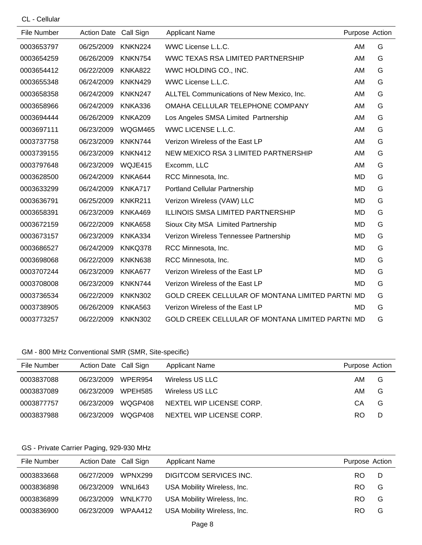CL - Cellular

| File Number | <b>Action Date</b> | Call Sign      | <b>Applicant Name</b>                                   | Purpose Action |   |
|-------------|--------------------|----------------|---------------------------------------------------------|----------------|---|
| 0003653797  | 06/25/2009         | KNKN224        | WWC License L.L.C.                                      | AM             | G |
| 0003654259  | 06/26/2009         | KNKN754        | WWC TEXAS RSA LIMITED PARTNERSHIP                       | AM             | G |
| 0003654412  | 06/22/2009         | <b>KNKA822</b> | WWC HOLDING CO., INC.                                   | AM             | G |
| 0003655348  | 06/24/2009         | KNKN429        | WWC License L.L.C.                                      | AM             | G |
| 0003658358  | 06/24/2009         | KNKN247        | ALLTEL Communications of New Mexico, Inc.               | AM             | G |
| 0003658966  | 06/24/2009         | KNKA336        | OMAHA CELLULAR TELEPHONE COMPANY                        | AM             | G |
| 0003694444  | 06/26/2009         | <b>KNKA209</b> | Los Angeles SMSA Limited Partnership                    | AM             | G |
| 0003697111  | 06/23/2009         | WQGM465        | WWC LICENSE L.L.C.                                      | AM             | G |
| 0003737758  | 06/23/2009         | KNKN744        | Verizon Wireless of the East LP                         | AM             | G |
| 0003739155  | 06/23/2009         | KNKN412        | NEW MEXICO RSA 3 LIMITED PARTNERSHIP                    | AM             | G |
| 0003797648  | 06/23/2009         | WQJE415        | Excomm, LLC                                             | AM             | G |
| 0003628500  | 06/24/2009         | KNKA644        | RCC Minnesota, Inc.                                     | <b>MD</b>      | G |
| 0003633299  | 06/24/2009         | KNKA717        | <b>Portland Cellular Partnership</b>                    | <b>MD</b>      | G |
| 0003636791  | 06/25/2009         | <b>KNKR211</b> | Verizon Wireless (VAW) LLC                              | <b>MD</b>      | G |
| 0003658391  | 06/23/2009         | KNKA469        | <b>ILLINOIS SMSA LIMITED PARTNERSHIP</b>                | MD             | G |
| 0003672159  | 06/22/2009         | KNKA658        | Sioux City MSA Limited Partnership                      | <b>MD</b>      | G |
| 0003673157  | 06/23/2009         | KNKA334        | Verizon Wireless Tennessee Partnership                  | <b>MD</b>      | G |
| 0003686527  | 06/24/2009         | KNKQ378        | RCC Minnesota, Inc.                                     | <b>MD</b>      | G |
| 0003698068  | 06/22/2009         | KNKN638        | RCC Minnesota, Inc.                                     | <b>MD</b>      | G |
| 0003707244  | 06/23/2009         | KNKA677        | Verizon Wireless of the East LP                         | MD             | G |
| 0003708008  | 06/23/2009         | KNKN744        | Verizon Wireless of the East LP                         | <b>MD</b>      | G |
| 0003736534  | 06/22/2009         | <b>KNKN302</b> | <b>GOLD CREEK CELLULAR OF MONTANA LIMITED PARTNI MD</b> |                | G |
| 0003738905  | 06/26/2009         | <b>KNKA563</b> | Verizon Wireless of the East LP                         | <b>MD</b>      | G |
| 0003773257  | 06/22/2009         | <b>KNKN302</b> | <b>GOLD CREEK CELLULAR OF MONTANA LIMITED PARTNI MD</b> |                | G |

## GM - 800 MHz Conventional SMR (SMR, Site-specific)

| File Number | Action Date Call Sign |                | Applicant Name           | Purpose Action |   |
|-------------|-----------------------|----------------|--------------------------|----------------|---|
| 0003837088  | 06/23/2009            | WPER954        | Wireless US LLC          | AM             | G |
| 0003837089  | 06/23/2009            | <b>WPEH585</b> | Wireless US LLC          | AM             | G |
| 0003877757  | 06/23/2009            | WOGP408        | NEXTEL WIP LICENSE CORP. | CА             | G |
| 0003837988  | 06/23/2009            | WOGP408        | NEXTEL WIP LICENSE CORP. | RO             | D |

# GS - Private Carrier Paging, 929-930 MHz

| File Number | Action Date Call Sign |         | <b>Applicant Name</b>       | Purpose Action |   |
|-------------|-----------------------|---------|-----------------------------|----------------|---|
| 0003833668  | 06/27/2009            | WPNX299 | DIGITCOM SERVICES INC.      | RO.            | D |
| 0003836898  | 06/23/2009            | WNLI643 | USA Mobility Wireless, Inc. | RO.            | G |
| 0003836899  | 06/23/2009            | WNLK770 | USA Mobility Wireless, Inc. | RO.            | G |
| 0003836900  | 06/23/2009            | WPAA412 | USA Mobility Wireless, Inc. | RO.            | G |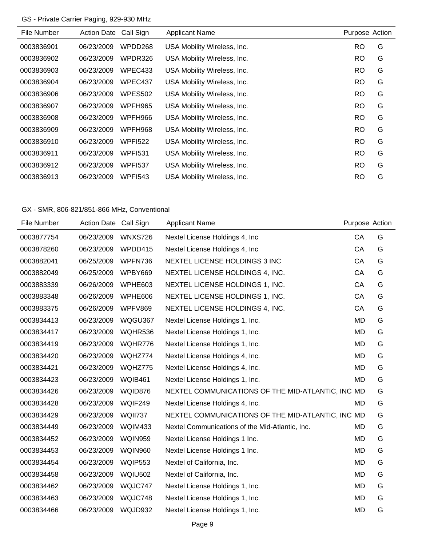## GS - Private Carrier Paging, 929-930 MHz

| File Number | <b>Action Date</b> | Call Sign      | <b>Applicant Name</b>       | Purpose Action |   |
|-------------|--------------------|----------------|-----------------------------|----------------|---|
| 0003836901  | 06/23/2009         | WPDD268        | USA Mobility Wireless, Inc. | <b>RO</b>      | G |
| 0003836902  | 06/23/2009         | WPDR326        | USA Mobility Wireless, Inc. | <b>RO</b>      | G |
| 0003836903  | 06/23/2009         | WPEC433        | USA Mobility Wireless, Inc. | <b>RO</b>      | G |
| 0003836904  | 06/23/2009         | WPEC437        | USA Mobility Wireless, Inc. | RO.            | G |
| 0003836906  | 06/23/2009         | <b>WPES502</b> | USA Mobility Wireless, Inc. | <b>RO</b>      | G |
| 0003836907  | 06/23/2009         | WPFH965        | USA Mobility Wireless, Inc. | <b>RO</b>      | G |
| 0003836908  | 06/23/2009         | WPFH966        | USA Mobility Wireless, Inc. | <b>RO</b>      | G |
| 0003836909  | 06/23/2009         | WPFH968        | USA Mobility Wireless, Inc. | <b>RO</b>      | G |
| 0003836910  | 06/23/2009         | <b>WPFI522</b> | USA Mobility Wireless, Inc. | <b>RO</b>      | G |
| 0003836911  | 06/23/2009         | <b>WPFI531</b> | USA Mobility Wireless, Inc. | <b>RO</b>      | G |
| 0003836912  | 06/23/2009         | <b>WPFI537</b> | USA Mobility Wireless, Inc. | <b>RO</b>      | G |
| 0003836913  | 06/23/2009         | <b>WPFI543</b> | USA Mobility Wireless, Inc. | <b>RO</b>      | G |
|             |                    |                |                             |                |   |

# GX - SMR, 806-821/851-866 MHz, Conventional

| File Number | Action Date Call Sign |                | <b>Applicant Name</b>                             | Purpose Action |   |
|-------------|-----------------------|----------------|---------------------------------------------------|----------------|---|
| 0003877754  | 06/23/2009            | <b>WNXS726</b> | Nextel License Holdings 4, Inc.                   | CA             | G |
| 0003878260  | 06/23/2009            | WPDD415        | Nextel License Holdings 4, Inc.                   | CA             | G |
| 0003882041  | 06/25/2009            | WPFN736        | NEXTEL LICENSE HOLDINGS 3 INC                     | CA             | G |
| 0003882049  | 06/25/2009            | WPBY669        | NEXTEL LICENSE HOLDINGS 4, INC.                   | CA             | G |
| 0003883339  | 06/26/2009            | WPHE603        | NEXTEL LICENSE HOLDINGS 1, INC.                   | CA             | G |
| 0003883348  | 06/26/2009            | WPHE606        | NEXTEL LICENSE HOLDINGS 1, INC.                   | CA             | G |
| 0003883375  | 06/26/2009            | WPFV869        | NEXTEL LICENSE HOLDINGS 4, INC.                   | CA             | G |
| 0003834413  | 06/23/2009            | WQGU367        | Nextel License Holdings 1, Inc.                   | <b>MD</b>      | G |
| 0003834417  | 06/23/2009            | WQHR536        | Nextel License Holdings 1, Inc.                   | <b>MD</b>      | G |
| 0003834419  | 06/23/2009            | WQHR776        | Nextel License Holdings 1, Inc.                   | <b>MD</b>      | G |
| 0003834420  | 06/23/2009            | WQHZ774        | Nextel License Holdings 4, Inc.                   | <b>MD</b>      | G |
| 0003834421  | 06/23/2009            | WQHZ775        | Nextel License Holdings 4, Inc.                   | <b>MD</b>      | G |
| 0003834423  | 06/23/2009            | <b>WQIB461</b> | Nextel License Holdings 1, Inc.                   | <b>MD</b>      | G |
| 0003834426  | 06/23/2009            | WQID876        | NEXTEL COMMUNICATIONS OF THE MID-ATLANTIC, INC MD |                | G |
| 0003834428  | 06/23/2009            | WQIF249        | Nextel License Holdings 4, Inc.                   | <b>MD</b>      | G |
| 0003834429  | 06/23/2009            | WQII737        | NEXTEL COMMUNICATIONS OF THE MID-ATLANTIC, INC MD |                | G |
| 0003834449  | 06/23/2009            | WQIM433        | Nextel Communications of the Mid-Atlantic, Inc.   | <b>MD</b>      | G |
| 0003834452  | 06/23/2009            | WQIN959        | Nextel License Holdings 1 Inc.                    | <b>MD</b>      | G |
| 0003834453  | 06/23/2009            | WQIN960        | Nextel License Holdings 1 Inc.                    | <b>MD</b>      | G |
| 0003834454  | 06/23/2009            | <b>WQIP553</b> | Nextel of California, Inc.                        | MD             | G |
| 0003834458  | 06/23/2009            | <b>WQIU502</b> | Nextel of California, Inc.                        | <b>MD</b>      | G |
| 0003834462  | 06/23/2009            | WQJC747        | Nextel License Holdings 1, Inc.                   | MD             | G |
| 0003834463  | 06/23/2009            | WQJC748        | Nextel License Holdings 1, Inc.                   | <b>MD</b>      | G |
| 0003834466  | 06/23/2009            | WQJD932        | Nextel License Holdings 1, Inc.                   | <b>MD</b>      | G |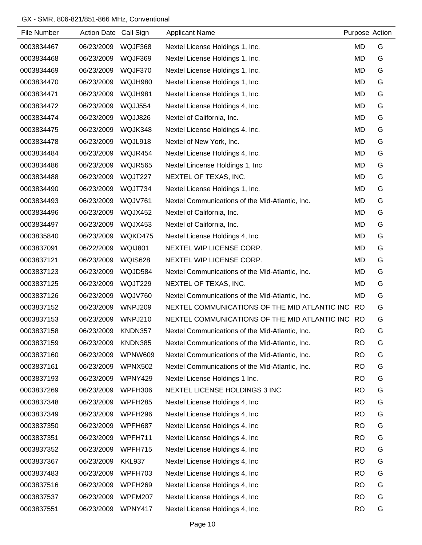## GX - SMR, 806-821/851-866 MHz, Conventional

| File Number | <b>Action Date</b> | Call Sign      | <b>Applicant Name</b>                            | Purpose Action |   |
|-------------|--------------------|----------------|--------------------------------------------------|----------------|---|
| 0003834467  | 06/23/2009         | WQJF368        | Nextel License Holdings 1, Inc.                  | <b>MD</b>      | G |
| 0003834468  | 06/23/2009         | WQJF369        | Nextel License Holdings 1, Inc.                  | <b>MD</b>      | G |
| 0003834469  | 06/23/2009         | WQJF370        | Nextel License Holdings 1, Inc.                  | <b>MD</b>      | G |
| 0003834470  | 06/23/2009         | WQJH980        | Nextel License Holdings 1, Inc.                  | <b>MD</b>      | G |
| 0003834471  | 06/23/2009         | WQJH981        | Nextel License Holdings 1, Inc.                  | MD             | G |
| 0003834472  | 06/23/2009         | WQJJ554        | Nextel License Holdings 4, Inc.                  | MD             | G |
| 0003834474  | 06/23/2009         | WQJJ826        | Nextel of California, Inc.                       | <b>MD</b>      | G |
| 0003834475  | 06/23/2009         | WQJK348        | Nextel License Holdings 4, Inc.                  | MD             | G |
| 0003834478  | 06/23/2009         | WQJL918        | Nextel of New York, Inc.                         | <b>MD</b>      | G |
| 0003834484  | 06/23/2009         | WQJR454        | Nextel License Holdings 4, Inc.                  | MD             | G |
| 0003834486  | 06/23/2009         | WQJR565        | Nextel Lincense Holdings 1, Inc.                 | <b>MD</b>      | G |
| 0003834488  | 06/23/2009         | WQJT227        | NEXTEL OF TEXAS, INC.                            | MD             | G |
| 0003834490  | 06/23/2009         | WQJT734        | Nextel License Holdings 1, Inc.                  | MD             | G |
| 0003834493  | 06/23/2009         | WQJV761        | Nextel Communications of the Mid-Atlantic, Inc.  | <b>MD</b>      | G |
| 0003834496  | 06/23/2009         | WQJX452        | Nextel of California, Inc.                       | <b>MD</b>      | G |
| 0003834497  | 06/23/2009         | WQJX453        | Nextel of California, Inc.                       | <b>MD</b>      | G |
| 0003835840  | 06/23/2009         | WQKD475        | Nextel License Holdings 4, Inc.                  | MD             | G |
| 0003837091  | 06/22/2009         | WQIJ801        | NEXTEL WIP LICENSE CORP.                         | <b>MD</b>      | G |
| 0003837121  | 06/23/2009         | <b>WQIS628</b> | NEXTEL WIP LICENSE CORP.                         | <b>MD</b>      | G |
| 0003837123  | 06/23/2009         | WQJD584        | Nextel Communications of the Mid-Atlantic, Inc.  | MD             | G |
| 0003837125  | 06/23/2009         | WQJT229        | NEXTEL OF TEXAS, INC.                            | MD             | G |
| 0003837126  | 06/23/2009         | <b>WQJV760</b> | Nextel Communications of the Mid-Atlantic, Inc.  | <b>MD</b>      | G |
| 0003837152  | 06/23/2009         | WNPJ209        | NEXTEL COMMUNICATIONS OF THE MID ATLANTIC INC    | <b>RO</b>      | G |
| 0003837153  | 06/23/2009         | WNPJ210        | NEXTEL COMMUNICATIONS OF THE MID ATLANTIC INC RO |                | G |
| 0003837158  | 06/23/2009         | KNDN357        | Nextel Communications of the Mid-Atlantic, Inc.  | <b>RO</b>      | G |
| 0003837159  | 06/23/2009         | <b>KNDN385</b> | Nextel Communications of the Mid-Atlantic, Inc.  | <b>RO</b>      | G |
| 0003837160  | 06/23/2009         | WPNW609        | Nextel Communications of the Mid-Atlantic, Inc.  | <b>RO</b>      | G |
| 0003837161  | 06/23/2009         | <b>WPNX502</b> | Nextel Communications of the Mid-Atlantic, Inc.  | <b>RO</b>      | G |
| 0003837193  | 06/23/2009         | WPNY429        | Nextel License Holdings 1 Inc.                   | <b>RO</b>      | G |
| 0003837269  | 06/23/2009         | WPFH306        | NEXTEL LICENSE HOLDINGS 3 INC                    | <b>RO</b>      | G |
| 0003837348  | 06/23/2009         | WPFH285        | Nextel License Holdings 4, Inc.                  | <b>RO</b>      | G |
| 0003837349  | 06/23/2009         | WPFH296        | Nextel License Holdings 4, Inc.                  | <b>RO</b>      | G |
| 0003837350  | 06/23/2009         | WPFH687        | Nextel License Holdings 4, Inc.                  | <b>RO</b>      | G |
| 0003837351  | 06/23/2009         | WPFH711        | Nextel License Holdings 4, Inc.                  | <b>RO</b>      | G |
| 0003837352  | 06/23/2009         | WPFH715        | Nextel License Holdings 4, Inc.                  | <b>RO</b>      | G |
| 0003837367  | 06/23/2009         | <b>KKL937</b>  | Nextel License Holdings 4, Inc.                  | <b>RO</b>      | G |
| 0003837483  | 06/23/2009         | WPFH703        | Nextel License Holdings 4, Inc.                  | <b>RO</b>      | G |
| 0003837516  | 06/23/2009         | WPFH269        | Nextel License Holdings 4, Inc.                  | <b>RO</b>      | G |
| 0003837537  | 06/23/2009         | WPFM207        | Nextel License Holdings 4, Inc.                  | <b>RO</b>      | G |
| 0003837551  | 06/23/2009         | WPNY417        | Nextel License Holdings 4, Inc.                  | <b>RO</b>      | G |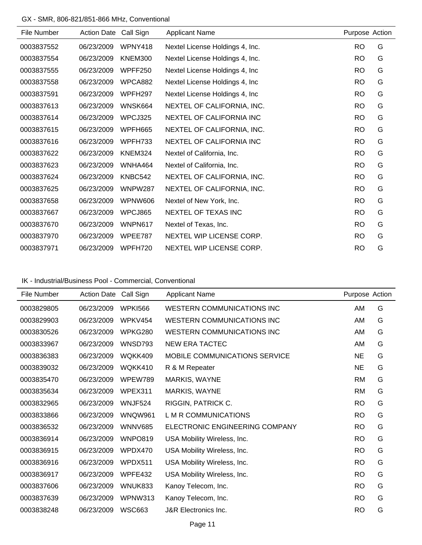## GX - SMR, 806-821/851-866 MHz, Conventional

| File Number | <b>Action Date</b> | Call Sign      | <b>Applicant Name</b>           | Purpose Action |   |
|-------------|--------------------|----------------|---------------------------------|----------------|---|
| 0003837552  | 06/23/2009         | WPNY418        | Nextel License Holdings 4, Inc. | <b>RO</b>      | G |
| 0003837554  | 06/23/2009         | <b>KNEM300</b> | Nextel License Holdings 4, Inc. | <b>RO</b>      | G |
| 0003837555  | 06/23/2009         | WPFF250        | Nextel License Holdings 4, Inc. | <b>RO</b>      | G |
| 0003837558  | 06/23/2009         | WPCA882        | Nextel License Holdings 4, Inc. | <b>RO</b>      | G |
| 0003837591  | 06/23/2009         | WPFH297        | Nextel License Holdings 4, Inc. | <b>RO</b>      | G |
| 0003837613  | 06/23/2009         | WNSK664        | NEXTEL OF CALIFORNIA, INC.      | <b>RO</b>      | G |
| 0003837614  | 06/23/2009         | WPCJ325        | NEXTEL OF CALIFORNIA INC        | <b>RO</b>      | G |
| 0003837615  | 06/23/2009         | WPFH665        | NEXTEL OF CALIFORNIA, INC.      | <b>RO</b>      | G |
| 0003837616  | 06/23/2009         | WPFH733        | <b>NEXTEL OF CALIFORNIA INC</b> | <b>RO</b>      | G |
| 0003837622  | 06/23/2009         | KNEM324        | Nextel of California, Inc.      | <b>RO</b>      | G |
| 0003837623  | 06/23/2009         | WNHA464        | Nextel of California, Inc.      | <b>RO</b>      | G |
| 0003837624  | 06/23/2009         | KNBC542        | NEXTEL OF CALIFORNIA, INC.      | <b>RO</b>      | G |
| 0003837625  | 06/23/2009         | <b>WNPW287</b> | NEXTEL OF CALIFORNIA, INC.      | <b>RO</b>      | G |
| 0003837658  | 06/23/2009         | WPNW606        | Nextel of New York, Inc.        | <b>RO</b>      | G |
| 0003837667  | 06/23/2009         | WPCJ865        | NEXTEL OF TEXAS INC             | <b>RO</b>      | G |
| 0003837670  | 06/23/2009         | WNPN617        | Nextel of Texas, Inc.           | <b>RO</b>      | G |
| 0003837970  | 06/23/2009         | WPEE787        | NEXTEL WIP LICENSE CORP.        | <b>RO</b>      | G |
| 0003837971  | 06/23/2009         | WPFH720        | NEXTEL WIP LICENSE CORP.        | <b>RO</b>      | G |

## IK - Industrial/Business Pool - Commercial, Conventional

| File Number | <b>Action Date</b> | Call Sign      | <b>Applicant Name</b>                | Purpose Action |   |
|-------------|--------------------|----------------|--------------------------------------|----------------|---|
| 0003829805  | 06/23/2009         | <b>WPKI566</b> | <b>WESTERN COMMUNICATIONS INC</b>    | AM             | G |
| 0003829903  | 06/23/2009         | WPKV454        | WESTERN COMMUNICATIONS INC           | AM             | G |
| 0003830526  | 06/23/2009         | WPKG280        | <b>WESTERN COMMUNICATIONS INC</b>    | AM             | G |
| 0003833967  | 06/23/2009         | WNSD793        | NEW ERA TACTEC                       | AM             | G |
| 0003836383  | 06/23/2009         | WQKK409        | <b>MOBILE COMMUNICATIONS SERVICE</b> | <b>NE</b>      | G |
| 0003839032  | 06/23/2009         | WQKK410        | R & M Repeater                       | <b>NE</b>      | G |
| 0003835470  | 06/23/2009         | WPEW789        | MARKIS, WAYNE                        | <b>RM</b>      | G |
| 0003835634  | 06/23/2009         | WPEX311        | MARKIS, WAYNE                        | <b>RM</b>      | G |
| 0003832965  | 06/23/2009         | WNJF524        | RIGGIN, PATRICK C.                   | <b>RO</b>      | G |
| 0003833866  | 06/23/2009         | <b>WNQW961</b> | L M R COMMUNICATIONS                 | <b>RO</b>      | G |
| 0003836532  | 06/23/2009         | <b>WNNV685</b> | ELECTRONIC ENGINEERING COMPANY       | <b>RO</b>      | G |
| 0003836914  | 06/23/2009         | WNPO819        | USA Mobility Wireless, Inc.          | <b>RO</b>      | G |
| 0003836915  | 06/23/2009         | WPDX470        | USA Mobility Wireless, Inc.          | <b>RO</b>      | G |
| 0003836916  | 06/23/2009         | WPDX511        | USA Mobility Wireless, Inc.          | <b>RO</b>      | G |
| 0003836917  | 06/23/2009         | WPFE432        | USA Mobility Wireless, Inc.          | <b>RO</b>      | G |
| 0003837606  | 06/23/2009         | WNUK833        | Kanoy Telecom, Inc.                  | <b>RO</b>      | G |
| 0003837639  | 06/23/2009         | WPNW313        | Kanoy Telecom, Inc.                  | <b>RO</b>      | G |
| 0003838248  | 06/23/2009         | <b>WSC663</b>  | J&R Electronics Inc.                 | <b>RO</b>      | G |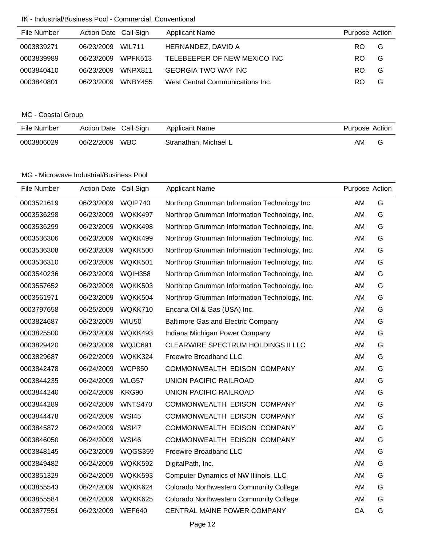### IK - Industrial/Business Pool - Commercial, Conventional

| File Number | Action Date Call Sign |                | <b>Applicant Name</b>            | Purpose Action |   |
|-------------|-----------------------|----------------|----------------------------------|----------------|---|
| 0003839271  | 06/23/2009            | WIL711         | HERNANDEZ, DAVID A               | RO.            | G |
| 0003839989  | 06/23/2009            | WPFK513        | TELEBEEPER OF NEW MEXICO INC     | RO.            | G |
| 0003840410  | 06/23/2009            | WNPX811        | <b>GEORGIA TWO WAY INC</b>       | RO.            | G |
| 0003840801  | 06/23/2009            | <b>WNBY455</b> | West Central Communications Inc. | RO.            | G |

# MC - Coastal Group

| File Number | Action Date Call Sign |            | Applicant Name        | Purpose Action |  |
|-------------|-----------------------|------------|-----------------------|----------------|--|
| 0003806029  | 06/22/2009            | <b>WBC</b> | Stranathan, Michael L | AM             |  |

| File Number | Action Date Call Sign |                | <b>Applicant Name</b>                         | Purpose Action |   |
|-------------|-----------------------|----------------|-----------------------------------------------|----------------|---|
| 0003521619  | 06/23/2009            | WQIP740        | Northrop Grumman Information Technology Inc   | AM             | G |
| 0003536298  | 06/23/2009            | WQKK497        | Northrop Grumman Information Technology, Inc. | AM             | G |
| 0003536299  | 06/23/2009            | WQKK498        | Northrop Grumman Information Technology, Inc. | AM             | G |
| 0003536306  | 06/23/2009            | WQKK499        | Northrop Grumman Information Technology, Inc. | AM             | G |
| 0003536308  | 06/23/2009            | WQKK500        | Northrop Grumman Information Technology, Inc. | AM             | G |
| 0003536310  | 06/23/2009            | WQKK501        | Northrop Grumman Information Technology, Inc. | AM             | G |
| 0003540236  | 06/23/2009            | <b>WQIH358</b> | Northrop Grumman Information Technology, Inc. | <b>AM</b>      | G |
| 0003557652  | 06/23/2009            | WQKK503        | Northrop Grumman Information Technology, Inc. | <b>AM</b>      | G |
| 0003561971  | 06/23/2009            | WQKK504        | Northrop Grumman Information Technology, Inc. | AM             | G |
| 0003797658  | 06/25/2009            | WQKK710        | Encana Oil & Gas (USA) Inc.                   | AM             | G |
| 0003824687  | 06/23/2009            | <b>WIU50</b>   | <b>Baltimore Gas and Electric Company</b>     | AM             | G |
| 0003825500  | 06/23/2009            | WQKK493        | Indiana Michigan Power Company                | AM             | G |
| 0003829420  | 06/23/2009            | WQJC691        | <b>CLEARWIRE SPECTRUM HOLDINGS II LLC</b>     | AM             | G |
| 0003829687  | 06/22/2009            | WQKK324        | Freewire Broadband LLC                        | AM             | G |
| 0003842478  | 06/24/2009            | <b>WCP850</b>  | COMMONWEALTH EDISON COMPANY                   | AM             | G |
| 0003844235  | 06/24/2009            | WLG57          | <b>UNION PACIFIC RAILROAD</b>                 | AM             | G |
| 0003844240  | 06/24/2009            | KRG90          | UNION PACIFIC RAILROAD                        | AM             | G |
| 0003844289  | 06/24/2009            | <b>WNTS470</b> | COMMONWEALTH EDISON COMPANY                   | AM             | G |
| 0003844478  | 06/24/2009            | <b>WSI45</b>   | COMMONWEALTH EDISON COMPANY                   | AM             | G |
| 0003845872  | 06/24/2009            | <b>WSI47</b>   | COMMONWEALTH EDISON COMPANY                   | AM             | G |
| 0003846050  | 06/24/2009            | <b>WSI46</b>   | COMMONWEALTH EDISON COMPANY                   | AM             | G |
| 0003848145  | 06/23/2009            | WQGS359        | Freewire Broadband LLC                        | AM             | G |
| 0003849482  | 06/24/2009            | WQKK592        | DigitalPath, Inc.                             | AM             | G |
| 0003851329  | 06/24/2009            | WQKK593        | Computer Dynamics of NW Illinois, LLC         | AM             | G |
| 0003855543  | 06/24/2009            | WQKK624        | Colorado Northwestern Community College       | AM             | G |
| 0003855584  | 06/24/2009            | WQKK625        | Colorado Northwestern Community College       | AM             | G |
| 0003877551  | 06/23/2009            | <b>WEF640</b>  | CENTRAL MAINE POWER COMPANY                   | CA             | G |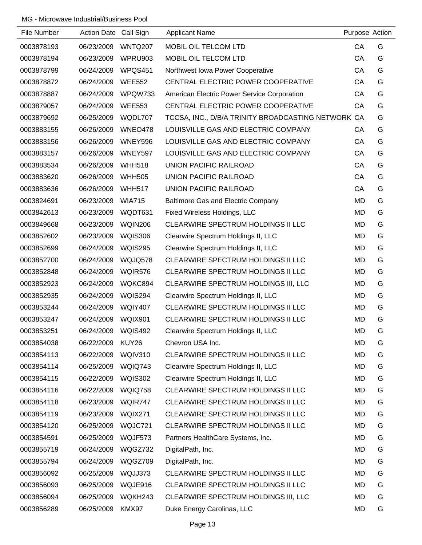| File Number | Action Date Call Sign |                | <b>Applicant Name</b>                              | Purpose Action |   |
|-------------|-----------------------|----------------|----------------------------------------------------|----------------|---|
| 0003878193  | 06/23/2009            | WNTQ207        | MOBIL OIL TELCOM LTD                               | CA             | G |
| 0003878194  | 06/23/2009            | WPRU903        | MOBIL OIL TELCOM LTD                               | CA             | G |
| 0003878799  | 06/24/2009            | WPQS451        | Northwest Iowa Power Cooperative                   | CA             | G |
| 0003878872  | 06/24/2009            | <b>WEE552</b>  | CENTRAL ELECTRIC POWER COOPERATIVE                 | CA             | G |
| 0003878887  | 06/24/2009            | WPQW733        | American Electric Power Service Corporation        | CA             | G |
| 0003879057  | 06/24/2009            | <b>WEE553</b>  | CENTRAL ELECTRIC POWER COOPERATIVE                 | CA             | G |
| 0003879692  | 06/25/2009            | WQDL707        | TCCSA, INC., D/B/A TRINITY BROADCASTING NETWORK CA |                | G |
| 0003883155  | 06/26/2009            | WNEO478        | LOUISVILLE GAS AND ELECTRIC COMPANY                | CA             | G |
| 0003883156  | 06/26/2009            | <b>WNEY596</b> | LOUISVILLE GAS AND ELECTRIC COMPANY                | CA             | G |
| 0003883157  | 06/26/2009            | WNEY597        | LOUISVILLE GAS AND ELECTRIC COMPANY                | CA             | G |
| 0003883534  | 06/26/2009            | <b>WHH518</b>  | UNION PACIFIC RAILROAD                             | CA             | G |
| 0003883620  | 06/26/2009            | <b>WHH505</b>  | UNION PACIFIC RAILROAD                             | CA             | G |
| 0003883636  | 06/26/2009            | <b>WHH517</b>  | UNION PACIFIC RAILROAD                             | CA             | G |
| 0003824691  | 06/23/2009            | <b>WIA715</b>  | Baltimore Gas and Electric Company                 | <b>MD</b>      | G |
| 0003842613  | 06/23/2009            | WQDT631        | Fixed Wireless Holdings, LLC                       | <b>MD</b>      | G |
| 0003849668  | 06/23/2009            | <b>WQIN206</b> | CLEARWIRE SPECTRUM HOLDINGS II LLC                 | <b>MD</b>      | G |
| 0003852602  | 06/23/2009            | <b>WQIS306</b> | Clearwire Spectrum Holdings II, LLC                | MD             | G |
| 0003852699  | 06/24/2009            | <b>WQIS295</b> | Clearwire Spectrum Holdings II, LLC                | <b>MD</b>      | G |
| 0003852700  | 06/24/2009            | WQJQ578        | <b>CLEARWIRE SPECTRUM HOLDINGS II LLC</b>          | MD             | G |
| 0003852848  | 06/24/2009            | WQIR576        | CLEARWIRE SPECTRUM HOLDINGS II LLC                 | <b>MD</b>      | G |
| 0003852923  | 06/24/2009            | WQKC894        | CLEARWIRE SPECTRUM HOLDINGS III, LLC               | MD             | G |
| 0003852935  | 06/24/2009            | WQIS294        | Clearwire Spectrum Holdings II, LLC                | <b>MD</b>      | G |
| 0003853244  | 06/24/2009            | <b>WQIY407</b> | CLEARWIRE SPECTRUM HOLDINGS II LLC                 | <b>MD</b>      | G |
| 0003853247  | 06/24/2009            | <b>WQIX901</b> | CLEARWIRE SPECTRUM HOLDINGS II LLC                 | MD             | G |
| 0003853251  | 06/24/2009            | <b>WQIS492</b> | Clearwire Spectrum Holdings II, LLC                | <b>MD</b>      | G |
| 0003854038  | 06/22/2009            | KUY26          | Chevron USA Inc.                                   | MD             | G |
| 0003854113  | 06/22/2009            | <b>WQIV310</b> | CLEARWIRE SPECTRUM HOLDINGS II LLC                 | <b>MD</b>      | G |
| 0003854114  | 06/25/2009            | WQIQ743        | Clearwire Spectrum Holdings II, LLC                | MD             | G |
| 0003854115  | 06/22/2009            | <b>WQIS302</b> | Clearwire Spectrum Holdings II, LLC                | MD             | G |
| 0003854116  | 06/22/2009            | <b>WQIQ758</b> | CLEARWIRE SPECTRUM HOLDINGS II LLC                 | MD             | G |
| 0003854118  | 06/23/2009            | WQIR747        | CLEARWIRE SPECTRUM HOLDINGS II LLC                 | <b>MD</b>      | G |
| 0003854119  | 06/23/2009            | WQIX271        | CLEARWIRE SPECTRUM HOLDINGS II LLC                 | MD             | G |
| 0003854120  | 06/25/2009            | WQJC721        | CLEARWIRE SPECTRUM HOLDINGS II LLC                 | MD             | G |
| 0003854591  | 06/25/2009            | WQJF573        | Partners HealthCare Systems, Inc.                  | MD             | G |
| 0003855719  | 06/24/2009            | WQGZ732        | DigitalPath, Inc.                                  | <b>MD</b>      | G |
| 0003855794  | 06/24/2009            | WQGZ709        | DigitalPath, Inc.                                  | MD             | G |
| 0003856092  | 06/25/2009            | WQJJ373        | CLEARWIRE SPECTRUM HOLDINGS II LLC                 | MD             | G |
| 0003856093  | 06/25/2009            | WQJE916        | CLEARWIRE SPECTRUM HOLDINGS II LLC                 | MD             | G |
| 0003856094  | 06/25/2009            | WQKH243        | CLEARWIRE SPECTRUM HOLDINGS III, LLC               | MD             | G |
| 0003856289  | 06/25/2009            | KMX97          | Duke Energy Carolinas, LLC                         | MD             | G |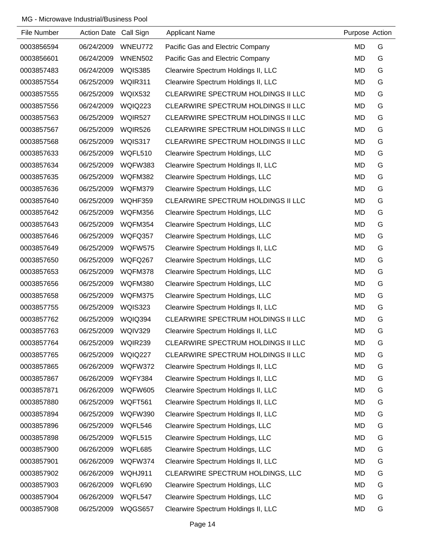| File Number | Action Date Call Sign |                | <b>Applicant Name</b>               | Purpose Action |   |
|-------------|-----------------------|----------------|-------------------------------------|----------------|---|
| 0003856594  | 06/24/2009            | WNEU772        | Pacific Gas and Electric Company    | MD             | G |
| 0003856601  | 06/24/2009            | <b>WNEN502</b> | Pacific Gas and Electric Company    | <b>MD</b>      | G |
| 0003857483  | 06/24/2009            | <b>WQIS385</b> | Clearwire Spectrum Holdings II, LLC | MD             | G |
| 0003857554  | 06/25/2009            | WQIR311        | Clearwire Spectrum Holdings II, LLC | <b>MD</b>      | G |
| 0003857555  | 06/25/2009            | <b>WQIX532</b> | CLEARWIRE SPECTRUM HOLDINGS II LLC  | <b>MD</b>      | G |
| 0003857556  | 06/24/2009            | <b>WQIQ223</b> | CLEARWIRE SPECTRUM HOLDINGS II LLC  | <b>MD</b>      | G |
| 0003857563  | 06/25/2009            | WQIR527        | CLEARWIRE SPECTRUM HOLDINGS II LLC  | MD             | G |
| 0003857567  | 06/25/2009            | WQIR526        | CLEARWIRE SPECTRUM HOLDINGS II LLC  | MD             | G |
| 0003857568  | 06/25/2009            | WQIS317        | CLEARWIRE SPECTRUM HOLDINGS II LLC  | <b>MD</b>      | G |
| 0003857633  | 06/25/2009            | WQFL510        | Clearwire Spectrum Holdings, LLC    | <b>MD</b>      | G |
| 0003857634  | 06/25/2009            | WQFW383        | Clearwire Spectrum Holdings II, LLC | MD             | G |
| 0003857635  | 06/25/2009            | WQFM382        | Clearwire Spectrum Holdings, LLC    | MD             | G |
| 0003857636  | 06/25/2009            | WQFM379        | Clearwire Spectrum Holdings, LLC    | <b>MD</b>      | G |
| 0003857640  | 06/25/2009            | WQHF359        | CLEARWIRE SPECTRUM HOLDINGS II LLC  | MD             | G |
| 0003857642  | 06/25/2009            | WQFM356        | Clearwire Spectrum Holdings, LLC    | <b>MD</b>      | G |
| 0003857643  | 06/25/2009            | WQFM354        | Clearwire Spectrum Holdings, LLC    | <b>MD</b>      | G |
| 0003857646  | 06/25/2009            | WQFQ357        | Clearwire Spectrum Holdings, LLC    | <b>MD</b>      | G |
| 0003857649  | 06/25/2009            | <b>WQFW575</b> | Clearwire Spectrum Holdings II, LLC | MD             | G |
| 0003857650  | 06/25/2009            | WQFQ267        | Clearwire Spectrum Holdings, LLC    | MD             | G |
| 0003857653  | 06/25/2009            | WQFM378        | Clearwire Spectrum Holdings, LLC    | <b>MD</b>      | G |
| 0003857656  | 06/25/2009            | WQFM380        | Clearwire Spectrum Holdings, LLC    | <b>MD</b>      | G |
| 0003857658  | 06/25/2009            | WQFM375        | Clearwire Spectrum Holdings, LLC    | MD             | G |
| 0003857755  | 06/25/2009            | <b>WQIS323</b> | Clearwire Spectrum Holdings II, LLC | MD             | G |
| 0003857762  | 06/25/2009            | <b>WQIQ394</b> | CLEARWIRE SPECTRUM HOLDINGS II LLC  | MD             | G |
| 0003857763  | 06/25/2009            | WQIV329        | Clearwire Spectrum Holdings II, LLC | <b>MD</b>      | G |
| 0003857764  | 06/25/2009            | WQIR239        | CLEARWIRE SPECTRUM HOLDINGS II LLC  | <b>MD</b>      | G |
| 0003857765  | 06/25/2009            | <b>WQIQ227</b> | CLEARWIRE SPECTRUM HOLDINGS II LLC  | <b>MD</b>      | G |
| 0003857865  | 06/26/2009            | WQFW372        | Clearwire Spectrum Holdings II, LLC | <b>MD</b>      | G |
| 0003857867  | 06/26/2009            | WQFY384        | Clearwire Spectrum Holdings II, LLC | <b>MD</b>      | G |
| 0003857871  | 06/26/2009            | <b>WQFW605</b> | Clearwire Spectrum Holdings II, LLC | <b>MD</b>      | G |
| 0003857880  | 06/25/2009            | WQFT561        | Clearwire Spectrum Holdings II, LLC | <b>MD</b>      | G |
| 0003857894  | 06/25/2009            | WQFW390        | Clearwire Spectrum Holdings II, LLC | <b>MD</b>      | G |
| 0003857896  | 06/25/2009            | WQFL546        | Clearwire Spectrum Holdings, LLC    | <b>MD</b>      | G |
| 0003857898  | 06/25/2009            | WQFL515        | Clearwire Spectrum Holdings, LLC    | MD             | G |
| 0003857900  | 06/26/2009            | WQFL685        | Clearwire Spectrum Holdings, LLC    | <b>MD</b>      | G |
| 0003857901  | 06/26/2009            | WQFW374        | Clearwire Spectrum Holdings II, LLC | <b>MD</b>      | G |
| 0003857902  | 06/26/2009            | WQHJ911        | CLEARWIRE SPECTRUM HOLDINGS, LLC    | <b>MD</b>      | G |
| 0003857903  | 06/26/2009            | WQFL690        | Clearwire Spectrum Holdings, LLC    | <b>MD</b>      | G |
| 0003857904  | 06/26/2009            | WQFL547        | Clearwire Spectrum Holdings, LLC    | MD             | G |
| 0003857908  | 06/25/2009            | WQGS657        | Clearwire Spectrum Holdings II, LLC | <b>MD</b>      | G |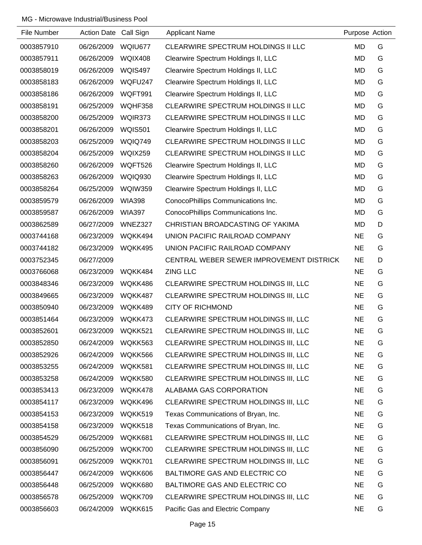| File Number | Action Date Call Sign |                | <b>Applicant Name</b>                    | Purpose Action |   |
|-------------|-----------------------|----------------|------------------------------------------|----------------|---|
| 0003857910  | 06/26/2009            | WQIU677        | CLEARWIRE SPECTRUM HOLDINGS II LLC       | <b>MD</b>      | G |
| 0003857911  | 06/26/2009            | WQIX408        | Clearwire Spectrum Holdings II, LLC      | <b>MD</b>      | G |
| 0003858019  | 06/26/2009            | <b>WQIS497</b> | Clearwire Spectrum Holdings II, LLC      | MD             | G |
| 0003858183  | 06/26/2009            | WQFU247        | Clearwire Spectrum Holdings II, LLC      | <b>MD</b>      | G |
| 0003858186  | 06/26/2009            | WQFT991        | Clearwire Spectrum Holdings II, LLC      | MD             | G |
| 0003858191  | 06/25/2009            | WQHF358        | CLEARWIRE SPECTRUM HOLDINGS II LLC       | <b>MD</b>      | G |
| 0003858200  | 06/25/2009            | WQIR373        | CLEARWIRE SPECTRUM HOLDINGS II LLC       | <b>MD</b>      | G |
| 0003858201  | 06/26/2009            | <b>WQIS501</b> | Clearwire Spectrum Holdings II, LLC      | <b>MD</b>      | G |
| 0003858203  | 06/25/2009            | <b>WQIQ749</b> | CLEARWIRE SPECTRUM HOLDINGS II LLC       | <b>MD</b>      | G |
| 0003858204  | 06/25/2009            | <b>WQIX259</b> | CLEARWIRE SPECTRUM HOLDINGS II LLC       | <b>MD</b>      | G |
| 0003858260  | 06/26/2009            | WQFT526        | Clearwire Spectrum Holdings II, LLC      | <b>MD</b>      | G |
| 0003858263  | 06/26/2009            | <b>WQIQ930</b> | Clearwire Spectrum Holdings II, LLC      | MD             | G |
| 0003858264  | 06/25/2009            | <b>WQIW359</b> | Clearwire Spectrum Holdings II, LLC      | <b>MD</b>      | G |
| 0003859579  | 06/26/2009            | <b>WIA398</b>  | ConocoPhillips Communications Inc.       | <b>MD</b>      | G |
| 0003859587  | 06/26/2009            | <b>WIA397</b>  | ConocoPhillips Communications Inc.       | <b>MD</b>      | G |
| 0003862589  | 06/27/2009            | WNEZ327        | CHRISTIAN BROADCASTING OF YAKIMA         | <b>MD</b>      | D |
| 0003744168  | 06/23/2009            | WQKK494        | UNION PACIFIC RAILROAD COMPANY           | <b>NE</b>      | G |
| 0003744182  | 06/23/2009            | WQKK495        | UNION PACIFIC RAILROAD COMPANY           | <b>NE</b>      | G |
| 0003752345  | 06/27/2009            |                | CENTRAL WEBER SEWER IMPROVEMENT DISTRICK | <b>NE</b>      | D |
| 0003766068  | 06/23/2009            | WQKK484        | <b>ZING LLC</b>                          | <b>NE</b>      | G |
| 0003848346  | 06/23/2009            | WQKK486        | CLEARWIRE SPECTRUM HOLDINGS III, LLC     | <b>NE</b>      | G |
| 0003849665  | 06/23/2009            | WQKK487        | CLEARWIRE SPECTRUM HOLDINGS III, LLC     | <b>NE</b>      | G |
| 0003850940  | 06/23/2009            | WQKK489        | <b>CITY OF RICHMOND</b>                  | <b>NE</b>      | G |
| 0003851464  | 06/23/2009            | WQKK473        | CLEARWIRE SPECTRUM HOLDINGS III, LLC     | <b>NE</b>      | G |
| 0003852601  | 06/23/2009            | WQKK521        | CLEARWIRE SPECTRUM HOLDINGS III, LLC     | <b>NE</b>      | G |
| 0003852850  | 06/24/2009            | WQKK563        | CLEARWIRE SPECTRUM HOLDINGS III, LLC     | <b>NE</b>      | G |
| 0003852926  | 06/24/2009            | WQKK566        | CLEARWIRE SPECTRUM HOLDINGS III, LLC     | <b>NE</b>      | G |
| 0003853255  | 06/24/2009            | WQKK581        | CLEARWIRE SPECTRUM HOLDINGS III, LLC     | <b>NE</b>      | G |
| 0003853258  | 06/24/2009            | WQKK580        | CLEARWIRE SPECTRUM HOLDINGS III, LLC     | <b>NE</b>      | G |
| 0003853413  | 06/23/2009            | WQKK478        | ALABAMA GAS CORPORATION                  | <b>NE</b>      | G |
| 0003854117  | 06/23/2009            | WQKK496        | CLEARWIRE SPECTRUM HOLDINGS III, LLC     | <b>NE</b>      | G |
| 0003854153  | 06/23/2009            | WQKK519        | Texas Communications of Bryan, Inc.      | <b>NE</b>      | G |
| 0003854158  | 06/23/2009            | WQKK518        | Texas Communications of Bryan, Inc.      | <b>NE</b>      | G |
| 0003854529  | 06/25/2009            | WQKK681        | CLEARWIRE SPECTRUM HOLDINGS III, LLC     | <b>NE</b>      | G |
| 0003856090  | 06/25/2009            | WQKK700        | CLEARWIRE SPECTRUM HOLDINGS III, LLC     | <b>NE</b>      | G |
| 0003856091  | 06/25/2009            | WQKK701        | CLEARWIRE SPECTRUM HOLDINGS III, LLC     | <b>NE</b>      | G |
| 0003856447  | 06/24/2009            | WQKK606        | BALTIMORE GAS AND ELECTRIC CO            | <b>NE</b>      | G |
| 0003856448  | 06/25/2009            | WQKK680        | BALTIMORE GAS AND ELECTRIC CO            | <b>NE</b>      | G |
| 0003856578  | 06/25/2009            | WQKK709        | CLEARWIRE SPECTRUM HOLDINGS III, LLC     | <b>NE</b>      | G |
| 0003856603  | 06/24/2009            | WQKK615        | Pacific Gas and Electric Company         | <b>NE</b>      | G |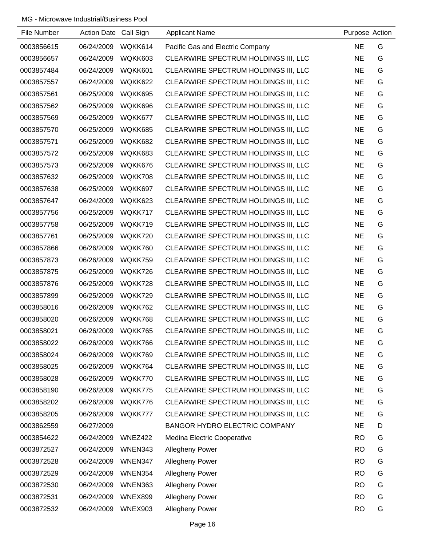| File Number | Action Date Call Sign |                | <b>Applicant Name</b>                | Purpose Action |   |
|-------------|-----------------------|----------------|--------------------------------------|----------------|---|
| 0003856615  | 06/24/2009            | WQKK614        | Pacific Gas and Electric Company     | <b>NE</b>      | G |
| 0003856657  | 06/24/2009            | WQKK603        | CLEARWIRE SPECTRUM HOLDINGS III, LLC | <b>NE</b>      | G |
| 0003857484  | 06/24/2009            | WQKK601        | CLEARWIRE SPECTRUM HOLDINGS III, LLC | <b>NE</b>      | G |
| 0003857557  | 06/24/2009            | WQKK622        | CLEARWIRE SPECTRUM HOLDINGS III, LLC | <b>NE</b>      | G |
| 0003857561  | 06/25/2009            | WQKK695        | CLEARWIRE SPECTRUM HOLDINGS III, LLC | <b>NE</b>      | G |
| 0003857562  | 06/25/2009            | WQKK696        | CLEARWIRE SPECTRUM HOLDINGS III, LLC | <b>NE</b>      | G |
| 0003857569  | 06/25/2009            | WQKK677        | CLEARWIRE SPECTRUM HOLDINGS III, LLC | <b>NE</b>      | G |
| 0003857570  | 06/25/2009            | WQKK685        | CLEARWIRE SPECTRUM HOLDINGS III, LLC | <b>NE</b>      | G |
| 0003857571  | 06/25/2009            | WQKK682        | CLEARWIRE SPECTRUM HOLDINGS III, LLC | <b>NE</b>      | G |
| 0003857572  | 06/25/2009            | WQKK683        | CLEARWIRE SPECTRUM HOLDINGS III, LLC | <b>NE</b>      | G |
| 0003857573  | 06/25/2009            | WQKK676        | CLEARWIRE SPECTRUM HOLDINGS III, LLC | <b>NE</b>      | G |
| 0003857632  | 06/25/2009            | WQKK708        | CLEARWIRE SPECTRUM HOLDINGS III, LLC | <b>NE</b>      | G |
| 0003857638  | 06/25/2009            | WQKK697        | CLEARWIRE SPECTRUM HOLDINGS III, LLC | <b>NE</b>      | G |
| 0003857647  | 06/24/2009            | WQKK623        | CLEARWIRE SPECTRUM HOLDINGS III, LLC | <b>NE</b>      | G |
| 0003857756  | 06/25/2009            | WQKK717        | CLEARWIRE SPECTRUM HOLDINGS III, LLC | <b>NE</b>      | G |
| 0003857758  | 06/25/2009            | WQKK719        | CLEARWIRE SPECTRUM HOLDINGS III, LLC | <b>NE</b>      | G |
| 0003857761  | 06/25/2009            | WQKK720        | CLEARWIRE SPECTRUM HOLDINGS III, LLC | <b>NE</b>      | G |
| 0003857866  | 06/26/2009            | WQKK760        | CLEARWIRE SPECTRUM HOLDINGS III, LLC | <b>NE</b>      | G |
| 0003857873  | 06/26/2009            | WQKK759        | CLEARWIRE SPECTRUM HOLDINGS III, LLC | <b>NE</b>      | G |
| 0003857875  | 06/25/2009            | WQKK726        | CLEARWIRE SPECTRUM HOLDINGS III, LLC | <b>NE</b>      | G |
| 0003857876  | 06/25/2009            | WQKK728        | CLEARWIRE SPECTRUM HOLDINGS III, LLC | <b>NE</b>      | G |
| 0003857899  | 06/25/2009            | WQKK729        | CLEARWIRE SPECTRUM HOLDINGS III, LLC | <b>NE</b>      | G |
| 0003858016  | 06/26/2009            | WQKK762        | CLEARWIRE SPECTRUM HOLDINGS III, LLC | <b>NE</b>      | G |
| 0003858020  | 06/26/2009            | WQKK768        | CLEARWIRE SPECTRUM HOLDINGS III, LLC | <b>NE</b>      | G |
| 0003858021  | 06/26/2009            | WQKK765        | CLEARWIRE SPECTRUM HOLDINGS III, LLC | <b>NE</b>      | G |
| 0003858022  | 06/26/2009            | WQKK766        | CLEARWIRE SPECTRUM HOLDINGS III, LLC | <b>NE</b>      | G |
| 0003858024  | 06/26/2009            | WQKK769        | CLEARWIRE SPECTRUM HOLDINGS III, LLC | <b>NE</b>      | G |
| 0003858025  | 06/26/2009            | WQKK764        | CLEARWIRE SPECTRUM HOLDINGS III, LLC | <b>NE</b>      | G |
| 0003858028  | 06/26/2009            | WQKK770        | CLEARWIRE SPECTRUM HOLDINGS III, LLC | <b>NE</b>      | G |
| 0003858190  | 06/26/2009            | WQKK775        | CLEARWIRE SPECTRUM HOLDINGS III, LLC | <b>NE</b>      | G |
| 0003858202  | 06/26/2009            | WQKK776        | CLEARWIRE SPECTRUM HOLDINGS III, LLC | <b>NE</b>      | G |
| 0003858205  | 06/26/2009            | WQKK777        | CLEARWIRE SPECTRUM HOLDINGS III, LLC | <b>NE</b>      | G |
| 0003862559  | 06/27/2009            |                | <b>BANGOR HYDRO ELECTRIC COMPANY</b> | <b>NE</b>      | D |
| 0003854622  | 06/24/2009            | WNEZ422        | Medina Electric Cooperative          | <b>RO</b>      | G |
| 0003872527  | 06/24/2009            | WNEN343        | <b>Allegheny Power</b>               | <b>RO</b>      | G |
| 0003872528  | 06/24/2009            | WNEN347        | <b>Allegheny Power</b>               | <b>RO</b>      | G |
| 0003872529  | 06/24/2009            | WNEN354        | <b>Allegheny Power</b>               | <b>RO</b>      | G |
| 0003872530  | 06/24/2009            | WNEN363        | <b>Allegheny Power</b>               | <b>RO</b>      | G |
| 0003872531  | 06/24/2009            | WNEX899        | <b>Allegheny Power</b>               | <b>RO</b>      | G |
| 0003872532  | 06/24/2009            | <b>WNEX903</b> | <b>Allegheny Power</b>               | <b>RO</b>      | G |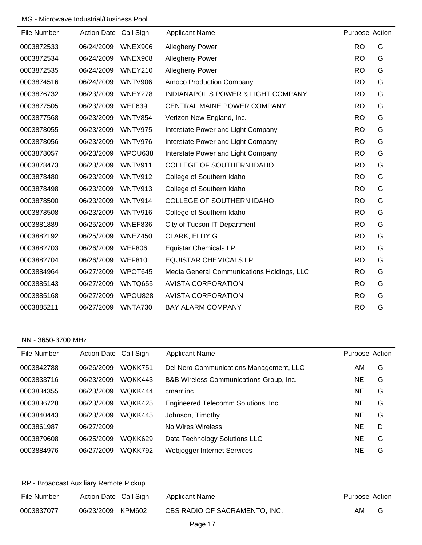| File Number | <b>Action Date</b> | Call Sign      | <b>Applicant Name</b>                      | Purpose Action |   |
|-------------|--------------------|----------------|--------------------------------------------|----------------|---|
| 0003872533  | 06/24/2009         | WNEX906        | <b>Allegheny Power</b>                     | <b>RO</b>      | G |
| 0003872534  | 06/24/2009         | WNEX908        | <b>Allegheny Power</b>                     | <b>RO</b>      | G |
| 0003872535  | 06/24/2009         | WNEY210        | Allegheny Power                            | <b>RO</b>      | G |
| 0003874516  | 06/24/2009         | <b>WNTV906</b> | <b>Amoco Production Company</b>            | <b>RO</b>      | G |
| 0003876732  | 06/23/2009         | WNEY278        | INDIANAPOLIS POWER & LIGHT COMPANY         | <b>RO</b>      | G |
| 0003877505  | 06/23/2009         | <b>WEF639</b>  | <b>CENTRAL MAINE POWER COMPANY</b>         | <b>RO</b>      | G |
| 0003877568  | 06/23/2009         | <b>WNTV854</b> | Verizon New England, Inc.                  | <b>RO</b>      | G |
| 0003878055  | 06/23/2009         | <b>WNTV975</b> | Interstate Power and Light Company         | <b>RO</b>      | G |
| 0003878056  | 06/23/2009         | <b>WNTV976</b> | Interstate Power and Light Company         | <b>RO</b>      | G |
| 0003878057  | 06/23/2009         | WPOU638        | Interstate Power and Light Company         | <b>RO</b>      | G |
| 0003878473  | 06/23/2009         | <b>WNTV911</b> | <b>COLLEGE OF SOUTHERN IDAHO</b>           | <b>RO</b>      | G |
| 0003878480  | 06/23/2009         | <b>WNTV912</b> | College of Southern Idaho                  | <b>RO</b>      | G |
| 0003878498  | 06/23/2009         | <b>WNTV913</b> | College of Southern Idaho                  | <b>RO</b>      | G |
| 0003878500  | 06/23/2009         | <b>WNTV914</b> | <b>COLLEGE OF SOUTHERN IDAHO</b>           | <b>RO</b>      | G |
| 0003878508  | 06/23/2009         | <b>WNTV916</b> | College of Southern Idaho                  | <b>RO</b>      | G |
| 0003881889  | 06/25/2009         | WNEF836        | City of Tucson IT Department               | <b>RO</b>      | G |
| 0003882192  | 06/25/2009         | WNEZ450        | CLARK, ELDY G                              | <b>RO</b>      | G |
| 0003882703  | 06/26/2009         | <b>WEF806</b>  | <b>Equistar Chemicals LP</b>               | <b>RO</b>      | G |
| 0003882704  | 06/26/2009         | <b>WEF810</b>  | <b>EQUISTAR CHEMICALS LP</b>               | <b>RO</b>      | G |
| 0003884964  | 06/27/2009         | WPOT645        | Media General Communications Holdings, LLC | <b>RO</b>      | G |
| 0003885143  | 06/27/2009         | WNTQ655        | <b>AVISTA CORPORATION</b>                  | <b>RO</b>      | G |
| 0003885168  | 06/27/2009         | WPOU828        | <b>AVISTA CORPORATION</b>                  | <b>RO</b>      | G |
| 0003885211  | 06/27/2009         | <b>WNTA730</b> | <b>BAY ALARM COMPANY</b>                   | <b>RO</b>      | G |

#### NN - 3650-3700 MHz

| File Number | Action Date Call Sign |                | <b>Applicant Name</b>                   | Purpose Action |   |
|-------------|-----------------------|----------------|-----------------------------------------|----------------|---|
| 0003842788  | 06/26/2009            | WQKK751        | Del Nero Communications Management, LLC | AM             | G |
| 0003833716  | 06/23/2009            | WQKK443        | B&B Wireless Communications Group, Inc. | NE             | G |
| 0003834355  | 06/23/2009            | WOKK444        | cmarr inc                               | NE             | G |
| 0003836728  | 06/23/2009            | WOKK425        | Engineered Telecomm Solutions, Inc.     | NE             | G |
| 0003840443  | 06/23/2009            | WOKK445        | Johnson, Timothy                        | NE             | G |
| 0003861987  | 06/27/2009            |                | No Wires Wireless                       | NE             | D |
| 0003879608  | 06/25/2009            | WOKK629        | Data Technology Solutions LLC           | NE             | G |
| 0003884976  | 06/27/2009            | <b>WOKK792</b> | Webjogger Internet Services             | NE             | G |

# RP - Broadcast Auxiliary Remote Pickup

| File Number | Action Date Call Sign | Applicant Name                | Purpose Action |   |
|-------------|-----------------------|-------------------------------|----------------|---|
| 0003837077  | 06/23/2009 KPM602     | CBS RADIO OF SACRAMENTO, INC. | AM             | G |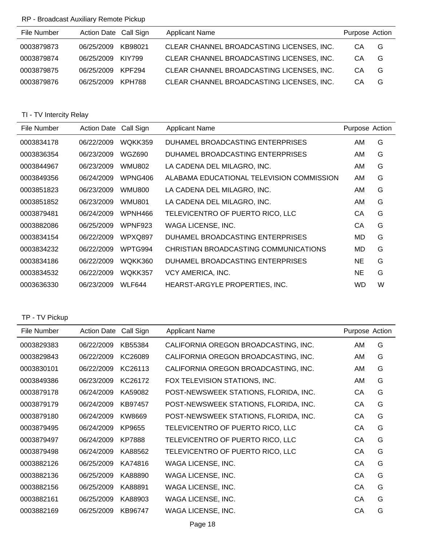## RP - Broadcast Auxiliary Remote Pickup

| File Number | Action Date Call Sign |         | <b>Applicant Name</b>                     | Purpose Action |   |
|-------------|-----------------------|---------|-------------------------------------------|----------------|---|
| 0003879873  | 06/25/2009            | KB98021 | CLEAR CHANNEL BROADCASTING LICENSES, INC. | CA.            | G |
| 0003879874  | 06/25/2009            | KIY799  | CLEAR CHANNEL BROADCASTING LICENSES, INC. | CA             | G |
| 0003879875  | 06/25/2009            | KPF294  | CLEAR CHANNEL BROADCASTING LICENSES, INC. | CA             | G |
| 0003879876  | 06/25/2009            | KPH788  | CLEAR CHANNEL BROADCASTING LICENSES, INC. | CА             | G |

# TI - TV Intercity Relay

| File Number | <b>Action Date</b> | Call Sign      | Applicant Name                            | Purpose Action |   |
|-------------|--------------------|----------------|-------------------------------------------|----------------|---|
| 0003834178  | 06/22/2009         | WQKK359        | DUHAMEL BROADCASTING ENTERPRISES          | AM             | G |
| 0003836354  | 06/23/2009         | <b>WGZ690</b>  | DUHAMEL BROADCASTING ENTERPRISES          | AM             | G |
| 0003844967  | 06/23/2009         | <b>WMU802</b>  | LA CADENA DEL MILAGRO, INC.               | AM.            | G |
| 0003849356  | 06/24/2009         | WPNG406        | ALABAMA EDUCATIONAL TELEVISION COMMISSION | AM             | G |
| 0003851823  | 06/23/2009         | WMU800         | LA CADENA DEL MILAGRO, INC.               | AM.            | G |
| 0003851852  | 06/23/2009         | <b>WMU801</b>  | LA CADENA DEL MILAGRO, INC.               | AM.            | G |
| 0003879481  | 06/24/2009         | WPNH466        | TELEVICENTRO OF PUERTO RICO, LLC          | CA             | G |
| 0003882086  | 06/25/2009         | WPNF923        | WAGA LICENSE, INC.                        | CА             | G |
| 0003834154  | 06/22/2009         | <b>WPXQ897</b> | DUHAMEL BROADCASTING ENTERPRISES          | MD             | G |
| 0003834232  | 06/22/2009         | WPTG994        | CHRISTIAN BROADCASTING COMMUNICATIONS     | MD             | G |
| 0003834186  | 06/22/2009         | WQKK360        | DUHAMEL BROADCASTING ENTERPRISES          | <b>NE</b>      | G |
| 0003834532  | 06/22/2009         | WQKK357        | VCY AMERICA, INC.                         | NE.            | G |
| 0003636330  | 06/23/2009         | WLF644         | HEARST-ARGYLE PROPERTIES, INC.            | WD             | W |

## TP - TV Pickup

| File Number | <b>Action Date</b> | Call Sign     | <b>Applicant Name</b>                 | Purpose Action |   |
|-------------|--------------------|---------------|---------------------------------------|----------------|---|
| 0003829383  | 06/22/2009         | KB55384       | CALIFORNIA OREGON BROADCASTING, INC.  | AM             | G |
| 0003829843  | 06/22/2009         | KC26089       | CALIFORNIA OREGON BROADCASTING, INC.  | <b>AM</b>      | G |
| 0003830101  | 06/22/2009         | KC26113       | CALIFORNIA OREGON BROADCASTING, INC.  | AM             | G |
| 0003849386  | 06/23/2009         | KC26172       | FOX TELEVISION STATIONS, INC.         | AM             | G |
| 0003879178  | 06/24/2009         | KA59082       | POST-NEWSWEEK STATIONS, FLORIDA, INC. | CA             | G |
| 0003879179  | 06/24/2009         | KB97457       | POST-NEWSWEEK STATIONS, FLORIDA, INC. | CA             | G |
| 0003879180  | 06/24/2009         | KW8669        | POST-NEWSWEEK STATIONS, FLORIDA, INC. | CA             | G |
| 0003879495  | 06/24/2009         | KP9655        | TELEVICENTRO OF PUERTO RICO, LLC      | CA             | G |
| 0003879497  | 06/24/2009         | <b>KP7888</b> | TELEVICENTRO OF PUERTO RICO, LLC      | CA             | G |
| 0003879498  | 06/24/2009         | KA88562       | TELEVICENTRO OF PUERTO RICO, LLC      | CA             | G |
| 0003882126  | 06/25/2009         | KA74816       | WAGA LICENSE, INC.                    | CA             | G |
| 0003882136  | 06/25/2009         | KA88890       | WAGA LICENSE, INC.                    | CA             | G |
| 0003882156  | 06/25/2009         | KA88891       | WAGA LICENSE, INC.                    | CA             | G |
| 0003882161  | 06/25/2009         | KA88903       | WAGA LICENSE, INC.                    | CA             | G |
| 0003882169  | 06/25/2009         | KB96747       | WAGA LICENSE, INC.                    | CA             | G |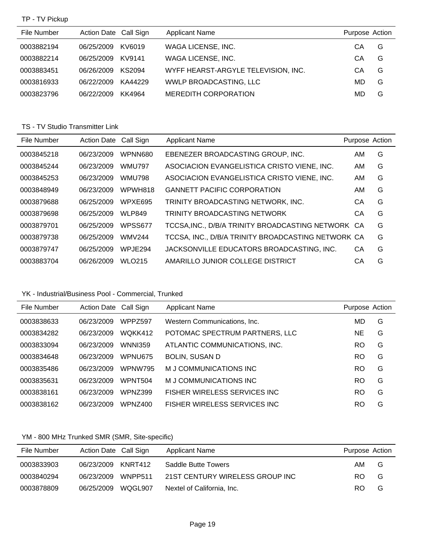TP - TV Pickup

| File Number | Action Date Call Sign |         | <b>Applicant Name</b>               | Purpose Action |   |
|-------------|-----------------------|---------|-------------------------------------|----------------|---|
| 0003882194  | 06/25/2009            | KV6019  | WAGA LICENSE, INC.                  | CА             | G |
| 0003882214  | 06/25/2009            | KV9141  | WAGA LICENSE, INC.                  | CА             | G |
| 0003883451  | 06/26/2009            | KS2094  | WYFF HEARST-ARGYLE TELEVISION, INC. | CА             | G |
| 0003816933  | 06/22/2009            | KA44229 | WWLP BROADCASTING, LLC              | MD             | G |
| 0003823796  | 06/22/2009            | KK4964  | <b>MEREDITH CORPORATION</b>         | MD             | G |

## TS - TV Studio Transmitter Link

| File Number | Action Date Call Sign |                | <b>Applicant Name</b>                              | Purpose Action |   |
|-------------|-----------------------|----------------|----------------------------------------------------|----------------|---|
| 0003845218  | 06/23/2009            | <b>WPNN680</b> | EBENEZER BROADCASTING GROUP, INC.                  | AM             | G |
| 0003845244  | 06/23/2009            | <b>WMU797</b>  | ASOCIACION EVANGELISTICA CRISTO VIENE, INC.        | AM             | G |
| 0003845253  | 06/23/2009            | <b>WMU798</b>  | ASOCIACION EVANGELISTICA CRISTO VIENE, INC.        | AM             | G |
| 0003848949  | 06/23/2009            | WPWH818        | <b>GANNETT PACIFIC CORPORATION</b>                 | AM             | G |
| 0003879688  | 06/25/2009            | WPXE695        | TRINITY BROADCASTING NETWORK, INC.                 | CА             | G |
| 0003879698  | 06/25/2009            | <b>WLP849</b>  | <b>TRINITY BROADCASTING NETWORK</b>                | CА             | G |
| 0003879701  | 06/25/2009            | WPSS677        | TCCSA, INC., D/B/A TRINITY BROADCASTING NETWORK CA |                | G |
| 0003879738  | 06/25/2009            | <b>WMV244</b>  | TCCSA, INC., D/B/A TRINITY BROADCASTING NETWORK CA |                | G |
| 0003879747  | 06/25/2009            | WPJE294        | JACKSONVILLE EDUCATORS BROADCASTING, INC.          | CA             | G |
| 0003883704  | 06/26/2009            | <b>WLO215</b>  | AMARILLO JUNIOR COLLEGE DISTRICT                   | CА             | G |

# YK - Industrial/Business Pool - Commercial, Trunked

| File Number | Action Date Call Sign |                | <b>Applicant Name</b>          | Purpose Action |   |
|-------------|-----------------------|----------------|--------------------------------|----------------|---|
| 0003838633  | 06/23/2009            | WPPZ597        | Western Communications, Inc.   | MD             | G |
| 0003834282  | 06/23/2009            | WQKK412        | POTOMAC SPECTRUM PARTNERS, LLC | NE             | G |
| 0003833094  | 06/23/2009            | <b>WNNI359</b> | ATLANTIC COMMUNICATIONS, INC.  | <b>RO</b>      | G |
| 0003834648  | 06/23/2009            | WPNU675        | <b>BOLIN, SUSAN D</b>          | <b>RO</b>      | G |
| 0003835486  | 06/23/2009            | <b>WPNW795</b> | M J COMMUNICATIONS INC         | <b>RO</b>      | G |
| 0003835631  | 06/23/2009            | WPNT504        | M J COMMUNICATIONS INC         | <b>RO</b>      | G |
| 0003838161  | 06/23/2009            | WPNZ399        | FISHER WIRELESS SERVICES INC   | RO             | G |
| 0003838162  | 06/23/2009            | WPNZ400        | FISHER WIRELESS SERVICES INC   | RO             | G |

# YM - 800 MHz Trunked SMR (SMR, Site-specific)

| File Number | Action Date Call Sign |         | <b>Applicant Name</b>           | Purpose Action |   |
|-------------|-----------------------|---------|---------------------------------|----------------|---|
| 0003833903  | 06/23/2009 KNRT412    |         | Saddle Butte Towers             | AM.            | G |
| 0003840294  | 06/23/2009            | WNPP511 | 21ST CENTURY WIRELESS GROUP INC | RO.            | G |
| 0003878809  | 06/25/2009            | WQGL907 | Nextel of California, Inc.      | RO.            | G |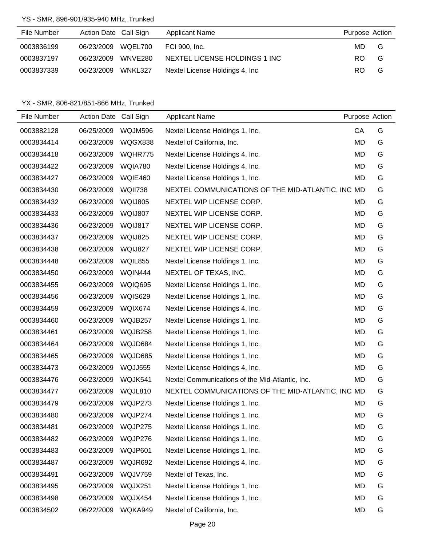#### YS - SMR, 896-901/935-940 MHz, Trunked

| File Number | Action Date Call Sign |         | <b>Applicant Name</b>          | Purpose Action |   |
|-------------|-----------------------|---------|--------------------------------|----------------|---|
| 0003836199  | 06/23/2009 WQEL700    |         | FCI 900, Inc.                  | MD.            | G |
| 0003837197  | 06/23/2009            | WNVE280 | NEXTEL LICENSE HOLDINGS 1 INC  | RO.            | G |
| 0003837339  | 06/23/2009 WNKL327    |         | Nextel License Holdings 4, Inc | RO.            | G |

| File Number | Action Date Call Sign |                | <b>Applicant Name</b>                             | Purpose Action |   |
|-------------|-----------------------|----------------|---------------------------------------------------|----------------|---|
| 0003882128  | 06/25/2009            | WQJM596        | Nextel License Holdings 1, Inc.                   | CA             | G |
| 0003834414  | 06/23/2009            | WQGX838        | Nextel of California, Inc.                        | MD             | G |
| 0003834418  | 06/23/2009            | WQHR775        | Nextel License Holdings 4, Inc.                   | MD             | G |
| 0003834422  | 06/23/2009            | WQIA780        | Nextel License Holdings 4, Inc.                   | MD             | G |
| 0003834427  | 06/23/2009            | WQIE460        | Nextel License Holdings 1, Inc.                   | MD             | G |
| 0003834430  | 06/23/2009            | <b>WQII738</b> | NEXTEL COMMUNICATIONS OF THE MID-ATLANTIC, INC MD |                | G |
| 0003834432  | 06/23/2009            | WQIJ805        | NEXTEL WIP LICENSE CORP.                          | MD             | G |
| 0003834433  | 06/23/2009            | WQIJ807        | NEXTEL WIP LICENSE CORP.                          | MD             | G |
| 0003834436  | 06/23/2009            | WQIJ817        | NEXTEL WIP LICENSE CORP.                          | MD             | G |
| 0003834437  | 06/23/2009            | WQIJ825        | NEXTEL WIP LICENSE CORP.                          | MD             | G |
| 0003834438  | 06/23/2009            | WQIJ827        | NEXTEL WIP LICENSE CORP.                          | MD             | G |
| 0003834448  | 06/23/2009            | WQIL855        | Nextel License Holdings 1, Inc.                   | MD             | G |
| 0003834450  | 06/23/2009            | WQIN444        | NEXTEL OF TEXAS, INC.                             | MD             | G |
| 0003834455  | 06/23/2009            | WQIQ695        | Nextel License Holdings 1, Inc.                   | MD             | G |
| 0003834456  | 06/23/2009            | <b>WQIS629</b> | Nextel License Holdings 1, Inc.                   | MD             | G |
| 0003834459  | 06/23/2009            | WQIX674        | Nextel License Holdings 4, Inc.                   | MD             | G |
| 0003834460  | 06/23/2009            | WQJB257        | Nextel License Holdings 1, Inc.                   | MD             | G |
| 0003834461  | 06/23/2009            | WQJB258        | Nextel License Holdings 1, Inc.                   | MD             | G |
| 0003834464  | 06/23/2009            | WQJD684        | Nextel License Holdings 1, Inc.                   | MD             | G |
| 0003834465  | 06/23/2009            | WQJD685        | Nextel License Holdings 1, Inc.                   | MD             | G |
| 0003834473  | 06/23/2009            | <b>WQJJ555</b> | Nextel License Holdings 4, Inc.                   | MD             | G |
| 0003834476  | 06/23/2009            | WQJK541        | Nextel Communications of the Mid-Atlantic, Inc.   | MD             | G |
| 0003834477  | 06/23/2009            | WQJL810        | NEXTEL COMMUNICATIONS OF THE MID-ATLANTIC, INC MD |                | G |
| 0003834479  | 06/23/2009            | WQJP273        | Nextel License Holdings 1, Inc.                   | MD             | G |
| 0003834480  | 06/23/2009            | WQJP274        | Nextel License Holdings 1, Inc.                   | <b>MD</b>      | G |
| 0003834481  | 06/23/2009            | WQJP275        | Nextel License Holdings 1, Inc.                   | <b>MD</b>      | G |
| 0003834482  | 06/23/2009            | WQJP276        | Nextel License Holdings 1, Inc.                   | MD             | G |
| 0003834483  | 06/23/2009            | WQJP601        | Nextel License Holdings 1, Inc.                   | MD             | G |
| 0003834487  | 06/23/2009            | WQJR692        | Nextel License Holdings 4, Inc.                   | MD             | G |
| 0003834491  | 06/23/2009            | WQJV759        | Nextel of Texas, Inc.                             | <b>MD</b>      | G |
| 0003834495  | 06/23/2009            | WQJX251        | Nextel License Holdings 1, Inc.                   | MD             | G |
| 0003834498  | 06/23/2009            | WQJX454        | Nextel License Holdings 1, Inc.                   | <b>MD</b>      | G |
| 0003834502  | 06/22/2009            | WQKA949        | Nextel of California, Inc.                        | MD             | G |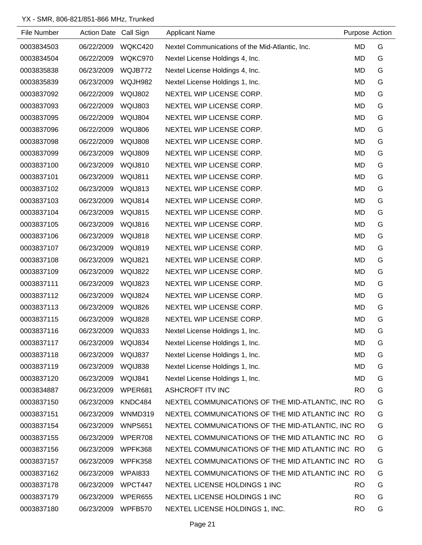| File Number | Action Date Call Sign |                     | <b>Applicant Name</b>                             | Purpose Action |   |
|-------------|-----------------------|---------------------|---------------------------------------------------|----------------|---|
| 0003834503  | 06/22/2009            | WQKC420             | Nextel Communications of the Mid-Atlantic, Inc.   | MD             | G |
| 0003834504  | 06/22/2009            | WQKC970             | Nextel License Holdings 4, Inc.                   | <b>MD</b>      | G |
| 0003835838  | 06/23/2009            | WQJB772             | Nextel License Holdings 4, Inc.                   | MD             | G |
| 0003835839  | 06/23/2009            | WQJH982             | Nextel License Holdings 1, Inc.                   | <b>MD</b>      | G |
| 0003837092  | 06/22/2009            | <b>WQIJ802</b>      | NEXTEL WIP LICENSE CORP.                          | MD             | G |
| 0003837093  | 06/22/2009            | WQIJ803             | NEXTEL WIP LICENSE CORP.                          | <b>MD</b>      | G |
| 0003837095  | 06/22/2009            | WQIJ804             | NEXTEL WIP LICENSE CORP.                          | <b>MD</b>      | G |
| 0003837096  | 06/22/2009            | <b>WQIJ806</b>      | NEXTEL WIP LICENSE CORP.                          | <b>MD</b>      | G |
| 0003837098  | 06/22/2009            | <b>WQIJ808</b>      | NEXTEL WIP LICENSE CORP.                          | MD             | G |
| 0003837099  | 06/23/2009            | WQIJ809             | NEXTEL WIP LICENSE CORP.                          | MD             | G |
| 0003837100  | 06/23/2009            | WQIJ810             | NEXTEL WIP LICENSE CORP.                          | <b>MD</b>      | G |
| 0003837101  | 06/23/2009            | WQIJ811             | NEXTEL WIP LICENSE CORP.                          | MD             | G |
| 0003837102  | 06/23/2009            | WQIJ813             | NEXTEL WIP LICENSE CORP.                          | MD             | G |
| 0003837103  | 06/23/2009            | WQIJ814             | NEXTEL WIP LICENSE CORP.                          | <b>MD</b>      | G |
| 0003837104  | 06/23/2009            | WQIJ815             | NEXTEL WIP LICENSE CORP.                          | MD             | G |
| 0003837105  | 06/23/2009            | WQIJ816             | NEXTEL WIP LICENSE CORP.                          | <b>MD</b>      | G |
| 0003837106  | 06/23/2009            | WQIJ818             | NEXTEL WIP LICENSE CORP.                          | MD             | G |
| 0003837107  | 06/23/2009            | WQIJ819             | NEXTEL WIP LICENSE CORP.                          | <b>MD</b>      | G |
| 0003837108  | 06/23/2009            | WQIJ821             | NEXTEL WIP LICENSE CORP.                          | MD             | G |
| 0003837109  | 06/23/2009            | WQIJ822             | NEXTEL WIP LICENSE CORP.                          | MD             | G |
| 0003837111  | 06/23/2009            | WQIJ823             | NEXTEL WIP LICENSE CORP.                          | MD             | G |
| 0003837112  | 06/23/2009            | WQIJ824             | NEXTEL WIP LICENSE CORP.                          | <b>MD</b>      | G |
| 0003837113  | 06/23/2009            | WQIJ826             | NEXTEL WIP LICENSE CORP.                          | MD             | G |
| 0003837115  | 06/23/2009            | WQIJ828             | NEXTEL WIP LICENSE CORP.                          | MD             | G |
| 0003837116  | 06/23/2009            | WQIJ833             | Nextel License Holdings 1, Inc.                   | MD             | G |
| 0003837117  | 06/23/2009            | WQIJ834             | Nextel License Holdings 1, Inc.                   | MD             | G |
| 0003837118  | 06/23/2009            | WQIJ837             | Nextel License Holdings 1, Inc.                   | MD             | G |
| 0003837119  | 06/23/2009            | WQIJ838             | Nextel License Holdings 1, Inc.                   | MD             | G |
| 0003837120  | 06/23/2009            | WQIJ841             | Nextel License Holdings 1, Inc.                   | MD             | G |
| 0003834887  | 06/23/2009            | WPER681             | <b>ASHCROFT ITV INC</b>                           | <b>RO</b>      | G |
| 0003837150  | 06/23/2009            | KNDC484             | NEXTEL COMMUNICATIONS OF THE MID-ATLANTIC, INC RO |                | G |
| 0003837151  | 06/23/2009            | WNMD319             | NEXTEL COMMUNICATIONS OF THE MID ATLANTIC INC RO  |                | G |
| 0003837154  | 06/23/2009            | <b>WNPS651</b>      | NEXTEL COMMUNICATIONS OF THE MID-ATLANTIC, INC RO |                | G |
| 0003837155  | 06/23/2009            | WPER708             | NEXTEL COMMUNICATIONS OF THE MID ATLANTIC INC RO  |                | G |
| 0003837156  | 06/23/2009            | WPFK368             | NEXTEL COMMUNICATIONS OF THE MID ATLANTIC INC RO  |                | G |
| 0003837157  | 06/23/2009            | WPFK358             | NEXTEL COMMUNICATIONS OF THE MID ATLANTIC INC RO  |                | G |
| 0003837162  | 06/23/2009            | WPA <sub>1833</sub> | NEXTEL COMMUNICATIONS OF THE MID ATLANTIC INC RO  |                | G |
| 0003837178  | 06/23/2009            | WPCT447             | NEXTEL LICENSE HOLDINGS 1 INC                     | <b>RO</b>      | G |
| 0003837179  | 06/23/2009            | WPER655             | NEXTEL LICENSE HOLDINGS 1 INC                     | <b>RO</b>      | G |
| 0003837180  | 06/23/2009            | WPFB570             | NEXTEL LICENSE HOLDINGS 1, INC.                   | <b>RO</b>      | G |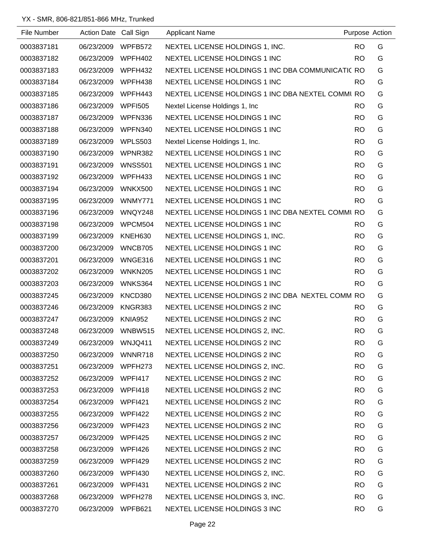| File Number | <b>Action Date</b> | Call Sign      | <b>Applicant Name</b>                             | Purpose Action |   |
|-------------|--------------------|----------------|---------------------------------------------------|----------------|---|
| 0003837181  | 06/23/2009         | WPFB572        | NEXTEL LICENSE HOLDINGS 1, INC.                   | <b>RO</b>      | G |
| 0003837182  | 06/23/2009         | WPFH402        | NEXTEL LICENSE HOLDINGS 1 INC                     | <b>RO</b>      | G |
| 0003837183  | 06/23/2009         | WPFH432        | NEXTEL LICENSE HOLDINGS 1 INC DBA COMMUNICATIC RO |                | G |
| 0003837184  | 06/23/2009         | WPFH438        | NEXTEL LICENSE HOLDINGS 1 INC                     | <b>RO</b>      | G |
| 0003837185  | 06/23/2009         | WPFH443        | NEXTEL LICENSE HOLDINGS 1 INC DBA NEXTEL COMMI RO |                | G |
| 0003837186  | 06/23/2009         | <b>WPFI505</b> | Nextel License Holdings 1, Inc.                   | <b>RO</b>      | G |
| 0003837187  | 06/23/2009         | WPFN336        | NEXTEL LICENSE HOLDINGS 1 INC                     | <b>RO</b>      | G |
| 0003837188  | 06/23/2009         | WPFN340        | NEXTEL LICENSE HOLDINGS 1 INC                     | <b>RO</b>      | G |
| 0003837189  | 06/23/2009         | WPLS503        | Nextel License Holdings 1, Inc.                   | <b>RO</b>      | G |
| 0003837190  | 06/23/2009         | WPNR382        | NEXTEL LICENSE HOLDINGS 1 INC                     | <b>RO</b>      | G |
| 0003837191  | 06/23/2009         | <b>WNSS501</b> | NEXTEL LICENSE HOLDINGS 1 INC                     | <b>RO</b>      | G |
| 0003837192  | 06/23/2009         | WPFH433        | NEXTEL LICENSE HOLDINGS 1 INC                     | <b>RO</b>      | G |
| 0003837194  | 06/23/2009         | WNKX500        | NEXTEL LICENSE HOLDINGS 1 INC                     | <b>RO</b>      | G |
| 0003837195  | 06/23/2009         | WNMY771        | NEXTEL LICENSE HOLDINGS 1 INC                     | <b>RO</b>      | G |
| 0003837196  | 06/23/2009         | WNQY248        | NEXTEL LICENSE HOLDINGS 1 INC DBA NEXTEL COMMI RO |                | G |
| 0003837198  | 06/23/2009         | WPCM504        | NEXTEL LICENSE HOLDINGS 1 INC                     | <b>RO</b>      | G |
| 0003837199  | 06/23/2009         | KNEH630        | NEXTEL LICENSE HOLDINGS 1, INC.                   | <b>RO</b>      | G |
| 0003837200  | 06/23/2009         | WNCB705        | NEXTEL LICENSE HOLDINGS 1 INC                     | <b>RO</b>      | G |
| 0003837201  | 06/23/2009         | WNGE316        | NEXTEL LICENSE HOLDINGS 1 INC                     | <b>RO</b>      | G |
| 0003837202  | 06/23/2009         | <b>WNKN205</b> | NEXTEL LICENSE HOLDINGS 1 INC                     | <b>RO</b>      | G |
| 0003837203  | 06/23/2009         | WNKS364        | NEXTEL LICENSE HOLDINGS 1 INC                     | <b>RO</b>      | G |
| 0003837245  | 06/23/2009         | KNCD380        | NEXTEL LICENSE HOLDINGS 2 INC DBA NEXTEL COMM RO  |                | G |
| 0003837246  | 06/23/2009         | KNGR383        | NEXTEL LICENSE HOLDINGS 2 INC                     | <b>RO</b>      | G |
| 0003837247  | 06/23/2009         | <b>KNIA952</b> | NEXTEL LICENSE HOLDINGS 2 INC                     | <b>RO</b>      | G |
| 0003837248  | 06/23/2009         | <b>WNBW515</b> | NEXTEL LICENSE HOLDINGS 2, INC.                   | <b>RO</b>      | G |
| 0003837249  | 06/23/2009         | WNJQ411        | NEXTEL LICENSE HOLDINGS 2 INC                     | <b>RO</b>      | G |
| 0003837250  | 06/23/2009         | WNNR718        | NEXTEL LICENSE HOLDINGS 2 INC                     | <b>RO</b>      | G |
| 0003837251  | 06/23/2009         | WPFH273        | NEXTEL LICENSE HOLDINGS 2, INC.                   | <b>RO</b>      | G |
| 0003837252  | 06/23/2009         | WPFI417        | NEXTEL LICENSE HOLDINGS 2 INC                     | <b>RO</b>      | G |
| 0003837253  | 06/23/2009         | WPFI418        | NEXTEL LICENSE HOLDINGS 2 INC                     | <b>RO</b>      | G |
| 0003837254  | 06/23/2009         | WPFI421        | NEXTEL LICENSE HOLDINGS 2 INC                     | <b>RO</b>      | G |
| 0003837255  | 06/23/2009         | WPFI422        | NEXTEL LICENSE HOLDINGS 2 INC                     | <b>RO</b>      | G |
| 0003837256  | 06/23/2009         | WPFI423        | NEXTEL LICENSE HOLDINGS 2 INC                     | <b>RO</b>      | G |
| 0003837257  | 06/23/2009         | WPFI425        | NEXTEL LICENSE HOLDINGS 2 INC                     | <b>RO</b>      | G |
| 0003837258  | 06/23/2009         | WPFI426        | NEXTEL LICENSE HOLDINGS 2 INC                     | <b>RO</b>      | G |
| 0003837259  | 06/23/2009         | WPFI429        | NEXTEL LICENSE HOLDINGS 2 INC                     | <b>RO</b>      | G |
| 0003837260  | 06/23/2009         | WPFI430        | NEXTEL LICENSE HOLDINGS 2, INC.                   | <b>RO</b>      | G |
| 0003837261  | 06/23/2009         | <b>WPFI431</b> | NEXTEL LICENSE HOLDINGS 2 INC                     | <b>RO</b>      | G |
| 0003837268  | 06/23/2009         | WPFH278        | NEXTEL LICENSE HOLDINGS 3, INC.                   | <b>RO</b>      | G |
| 0003837270  | 06/23/2009         | WPFB621        | NEXTEL LICENSE HOLDINGS 3 INC                     | <b>RO</b>      | G |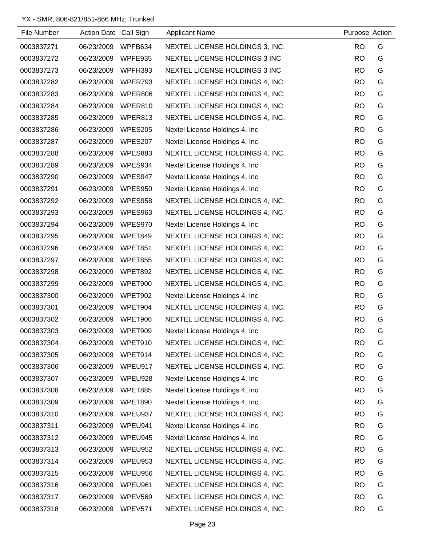| File Number | Action Date Call Sign |                | <b>Applicant Name</b>           | Purpose Action |   |
|-------------|-----------------------|----------------|---------------------------------|----------------|---|
| 0003837271  | 06/23/2009            | WPFB634        | NEXTEL LICENSE HOLDINGS 3, INC. | <b>RO</b>      | G |
| 0003837272  | 06/23/2009            | WPFE935        | NEXTEL LICENSE HOLDINGS 3 INC   | <b>RO</b>      | G |
| 0003837273  | 06/23/2009            | WPFH393        | NEXTEL LICENSE HOLDINGS 3 INC   | <b>RO</b>      | G |
| 0003837282  | 06/23/2009            | WPER793        | NEXTEL LICENSE HOLDINGS 4, INC. | <b>RO</b>      | G |
| 0003837283  | 06/23/2009            | WPER806        | NEXTEL LICENSE HOLDINGS 4, INC. | <b>RO</b>      | G |
| 0003837284  | 06/23/2009            | WPER810        | NEXTEL LICENSE HOLDINGS 4, INC. | <b>RO</b>      | G |
| 0003837285  | 06/23/2009            | WPER813        | NEXTEL LICENSE HOLDINGS 4, INC. | <b>RO</b>      | G |
| 0003837286  | 06/23/2009            | <b>WPES205</b> | Nextel License Holdings 4, Inc  | <b>RO</b>      | G |
| 0003837287  | 06/23/2009            | WPES207        | Nextel License Holdings 4, Inc  | <b>RO</b>      | G |
| 0003837288  | 06/23/2009            | WPES883        | NEXTEL LICENSE HOLDINGS 4, INC. | <b>RO</b>      | G |
| 0003837289  | 06/23/2009            | WPES934        | Nextel License Holdings 4, Inc. | <b>RO</b>      | G |
| 0003837290  | 06/23/2009            | WPES947        | Nextel License Holdings 4, Inc. | <b>RO</b>      | G |
| 0003837291  | 06/23/2009            | WPES950        | Nextel License Holdings 4, Inc. | <b>RO</b>      | G |
| 0003837292  | 06/23/2009            | WPES958        | NEXTEL LICENSE HOLDINGS 4, INC. | <b>RO</b>      | G |
| 0003837293  | 06/23/2009            | WPES963        | NEXTEL LICENSE HOLDINGS 4, INC. | <b>RO</b>      | G |
| 0003837294  | 06/23/2009            | WPES970        | Nextel License Holdings 4, Inc  | <b>RO</b>      | G |
| 0003837295  | 06/23/2009            | WPET849        | NEXTEL LICENSE HOLDINGS 4, INC. | <b>RO</b>      | G |
| 0003837296  | 06/23/2009            | WPET851        | NEXTEL LICENSE HOLDINGS 4, INC. | <b>RO</b>      | G |
| 0003837297  | 06/23/2009            | WPET855        | NEXTEL LICENSE HOLDINGS 4, INC. | <b>RO</b>      | G |
| 0003837298  | 06/23/2009            | WPET892        | NEXTEL LICENSE HOLDINGS 4, INC. | <b>RO</b>      | G |
| 0003837299  | 06/23/2009            | WPET900        | NEXTEL LICENSE HOLDINGS 4, INC. | <b>RO</b>      | G |
| 0003837300  | 06/23/2009            | WPET902        | Nextel License Holdings 4, Inc. | <b>RO</b>      | G |
| 0003837301  | 06/23/2009            | WPET904        | NEXTEL LICENSE HOLDINGS 4, INC. | <b>RO</b>      | G |
| 0003837302  | 06/23/2009            | WPET906        | NEXTEL LICENSE HOLDINGS 4, INC. | <b>RO</b>      | G |
| 0003837303  | 06/23/2009            | WPET909        | Nextel License Holdings 4, Inc. | <b>RO</b>      | G |
| 0003837304  | 06/23/2009            | WPET910        | NEXTEL LICENSE HOLDINGS 4, INC. | <b>RO</b>      | G |
| 0003837305  | 06/23/2009            | WPET914        | NEXTEL LICENSE HOLDINGS 4, INC. | <b>RO</b>      | G |
| 0003837306  | 06/23/2009            | WPEU917        | NEXTEL LICENSE HOLDINGS 4, INC. | <b>RO</b>      | G |
| 0003837307  | 06/23/2009            | WPEU928        | Nextel License Holdings 4, Inc. | <b>RO</b>      | G |
| 0003837308  | 06/23/2009            | WPET885        | Nextel License Holdings 4, Inc. | <b>RO</b>      | G |
| 0003837309  | 06/23/2009            | WPET890        | Nextel License Holdings 4, Inc  | <b>RO</b>      | G |
| 0003837310  | 06/23/2009            | WPEU937        | NEXTEL LICENSE HOLDINGS 4, INC. | <b>RO</b>      | G |
| 0003837311  | 06/23/2009            | WPEU941        | Nextel License Holdings 4, Inc. | <b>RO</b>      | G |
| 0003837312  | 06/23/2009            | WPEU945        | Nextel License Holdings 4, Inc. | <b>RO</b>      | G |
| 0003837313  | 06/23/2009            | WPEU952        | NEXTEL LICENSE HOLDINGS 4, INC. | <b>RO</b>      | G |
| 0003837314  | 06/23/2009            | WPEU953        | NEXTEL LICENSE HOLDINGS 4, INC. | <b>RO</b>      | G |
| 0003837315  | 06/23/2009            | WPEU956        | NEXTEL LICENSE HOLDINGS 4, INC. | <b>RO</b>      | G |
| 0003837316  | 06/23/2009            | WPEU961        | NEXTEL LICENSE HOLDINGS 4, INC. | <b>RO</b>      | G |
| 0003837317  | 06/23/2009            | WPEV569        | NEXTEL LICENSE HOLDINGS 4, INC. | <b>RO</b>      | G |
| 0003837318  | 06/23/2009            | WPEV571        | NEXTEL LICENSE HOLDINGS 4, INC. | <b>RO</b>      | G |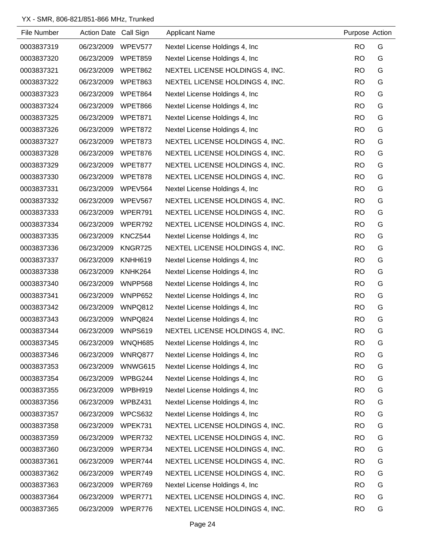| File Number | Action Date Call Sign |                | <b>Applicant Name</b>           | Purpose Action |   |
|-------------|-----------------------|----------------|---------------------------------|----------------|---|
| 0003837319  | 06/23/2009            | WPEV577        | Nextel License Holdings 4, Inc. | <b>RO</b>      | G |
| 0003837320  | 06/23/2009            | WPET859        | Nextel License Holdings 4, Inc  | <b>RO</b>      | G |
| 0003837321  | 06/23/2009            | WPET862        | NEXTEL LICENSE HOLDINGS 4, INC. | <b>RO</b>      | G |
| 0003837322  | 06/23/2009            | WPET863        | NEXTEL LICENSE HOLDINGS 4, INC. | <b>RO</b>      | G |
| 0003837323  | 06/23/2009            | WPET864        | Nextel License Holdings 4, Inc. | <b>RO</b>      | G |
| 0003837324  | 06/23/2009            | WPET866        | Nextel License Holdings 4, Inc. | <b>RO</b>      | G |
| 0003837325  | 06/23/2009            | WPET871        | Nextel License Holdings 4, Inc. | <b>RO</b>      | G |
| 0003837326  | 06/23/2009            | WPET872        | Nextel License Holdings 4, Inc. | <b>RO</b>      | G |
| 0003837327  | 06/23/2009            | WPET873        | NEXTEL LICENSE HOLDINGS 4, INC. | <b>RO</b>      | G |
| 0003837328  | 06/23/2009            | WPET876        | NEXTEL LICENSE HOLDINGS 4, INC. | <b>RO</b>      | G |
| 0003837329  | 06/23/2009            | WPET877        | NEXTEL LICENSE HOLDINGS 4, INC. | <b>RO</b>      | G |
| 0003837330  | 06/23/2009            | WPET878        | NEXTEL LICENSE HOLDINGS 4, INC. | <b>RO</b>      | G |
| 0003837331  | 06/23/2009            | WPEV564        | Nextel License Holdings 4, Inc. | <b>RO</b>      | G |
| 0003837332  | 06/23/2009            | WPEV567        | NEXTEL LICENSE HOLDINGS 4, INC. | <b>RO</b>      | G |
| 0003837333  | 06/23/2009            | WPER791        | NEXTEL LICENSE HOLDINGS 4, INC. | <b>RO</b>      | G |
| 0003837334  | 06/23/2009            | WPER792        | NEXTEL LICENSE HOLDINGS 4, INC. | <b>RO</b>      | G |
| 0003837335  | 06/23/2009            | KNCZ544        | Nextel License Holdings 4, Inc. | <b>RO</b>      | G |
| 0003837336  | 06/23/2009            | KNGR725        | NEXTEL LICENSE HOLDINGS 4, INC. | <b>RO</b>      | G |
| 0003837337  | 06/23/2009            | KNHH619        | Nextel License Holdings 4, Inc. | <b>RO</b>      | G |
| 0003837338  | 06/23/2009            | KNHK264        | Nextel License Holdings 4, Inc. | <b>RO</b>      | G |
| 0003837340  | 06/23/2009            | WNPP568        | Nextel License Holdings 4, Inc. | <b>RO</b>      | G |
| 0003837341  | 06/23/2009            | WNPP652        | Nextel License Holdings 4, Inc. | <b>RO</b>      | G |
| 0003837342  | 06/23/2009            | WNPQ812        | Nextel License Holdings 4, Inc. | <b>RO</b>      | G |
| 0003837343  | 06/23/2009            | WNPQ824        | Nextel License Holdings 4, Inc. | <b>RO</b>      | G |
| 0003837344  | 06/23/2009            | <b>WNPS619</b> | NEXTEL LICENSE HOLDINGS 4, INC. | RO             | G |
| 0003837345  | 06/23/2009            | WNQH685        | Nextel License Holdings 4, Inc. | <b>RO</b>      | G |
| 0003837346  | 06/23/2009            | WNRQ877        | Nextel License Holdings 4, Inc. | <b>RO</b>      | G |
| 0003837353  | 06/23/2009            | WNWG615        | Nextel License Holdings 4, Inc. | <b>RO</b>      | G |
| 0003837354  | 06/23/2009            | WPBG244        | Nextel License Holdings 4, Inc. | <b>RO</b>      | G |
| 0003837355  | 06/23/2009            | WPBH919        | Nextel License Holdings 4, Inc. | <b>RO</b>      | G |
| 0003837356  | 06/23/2009            | WPBZ431        | Nextel License Holdings 4, Inc. | <b>RO</b>      | G |
| 0003837357  | 06/23/2009            | WPCS632        | Nextel License Holdings 4, Inc. | <b>RO</b>      | G |
| 0003837358  | 06/23/2009            | WPEK731        | NEXTEL LICENSE HOLDINGS 4, INC. | <b>RO</b>      | G |
| 0003837359  | 06/23/2009            | WPER732        | NEXTEL LICENSE HOLDINGS 4, INC. | <b>RO</b>      | G |
| 0003837360  | 06/23/2009            | WPER734        | NEXTEL LICENSE HOLDINGS 4, INC. | <b>RO</b>      | G |
| 0003837361  | 06/23/2009            | WPER744        | NEXTEL LICENSE HOLDINGS 4, INC. | <b>RO</b>      | G |
| 0003837362  | 06/23/2009            | WPER749        | NEXTEL LICENSE HOLDINGS 4, INC. | <b>RO</b>      | G |
| 0003837363  | 06/23/2009            | WPER769        | Nextel License Holdings 4, Inc. | <b>RO</b>      | G |
| 0003837364  | 06/23/2009            | WPER771        | NEXTEL LICENSE HOLDINGS 4, INC. | <b>RO</b>      | G |
| 0003837365  | 06/23/2009            | WPER776        | NEXTEL LICENSE HOLDINGS 4, INC. | <b>RO</b>      | G |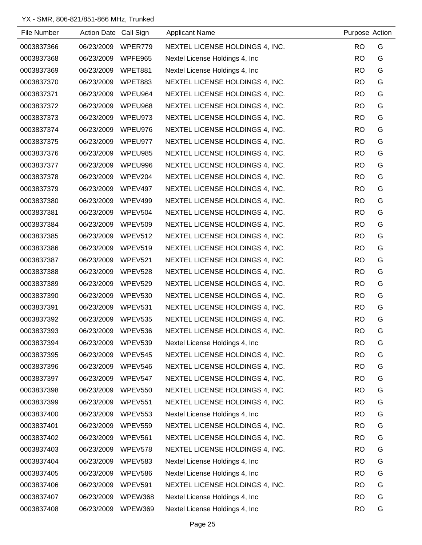| File Number | Action Date Call Sign |                | <b>Applicant Name</b>           | Purpose Action |   |
|-------------|-----------------------|----------------|---------------------------------|----------------|---|
| 0003837366  | 06/23/2009            | WPER779        | NEXTEL LICENSE HOLDINGS 4, INC. | <b>RO</b>      | G |
| 0003837368  | 06/23/2009            | WPFE965        | Nextel License Holdings 4, Inc. | <b>RO</b>      | G |
| 0003837369  | 06/23/2009            | WPET881        | Nextel License Holdings 4, Inc. | <b>RO</b>      | G |
| 0003837370  | 06/23/2009            | WPET883        | NEXTEL LICENSE HOLDINGS 4, INC. | <b>RO</b>      | G |
| 0003837371  | 06/23/2009            | WPEU964        | NEXTEL LICENSE HOLDINGS 4, INC. | <b>RO</b>      | G |
| 0003837372  | 06/23/2009            | WPEU968        | NEXTEL LICENSE HOLDINGS 4, INC. | <b>RO</b>      | G |
| 0003837373  | 06/23/2009            | WPEU973        | NEXTEL LICENSE HOLDINGS 4, INC. | <b>RO</b>      | G |
| 0003837374  | 06/23/2009            | WPEU976        | NEXTEL LICENSE HOLDINGS 4, INC. | <b>RO</b>      | G |
| 0003837375  | 06/23/2009            | WPEU977        | NEXTEL LICENSE HOLDINGS 4, INC. | <b>RO</b>      | G |
| 0003837376  | 06/23/2009            | WPEU985        | NEXTEL LICENSE HOLDINGS 4, INC. | <b>RO</b>      | G |
| 0003837377  | 06/23/2009            | WPEU996        | NEXTEL LICENSE HOLDINGS 4, INC. | <b>RO</b>      | G |
| 0003837378  | 06/23/2009            | WPEV204        | NEXTEL LICENSE HOLDINGS 4, INC. | <b>RO</b>      | G |
| 0003837379  | 06/23/2009            | WPEV497        | NEXTEL LICENSE HOLDINGS 4, INC. | <b>RO</b>      | G |
| 0003837380  | 06/23/2009            | WPEV499        | NEXTEL LICENSE HOLDINGS 4, INC. | <b>RO</b>      | G |
| 0003837381  | 06/23/2009            | WPEV504        | NEXTEL LICENSE HOLDINGS 4, INC. | <b>RO</b>      | G |
| 0003837384  | 06/23/2009            | <b>WPEV509</b> | NEXTEL LICENSE HOLDINGS 4, INC. | <b>RO</b>      | G |
| 0003837385  | 06/23/2009            | WPEV512        | NEXTEL LICENSE HOLDINGS 4, INC. | <b>RO</b>      | G |
| 0003837386  | 06/23/2009            | WPEV519        | NEXTEL LICENSE HOLDINGS 4, INC. | <b>RO</b>      | G |
| 0003837387  | 06/23/2009            | WPEV521        | NEXTEL LICENSE HOLDINGS 4, INC. | RO.            | G |
| 0003837388  | 06/23/2009            | WPEV528        | NEXTEL LICENSE HOLDINGS 4, INC. | <b>RO</b>      | G |
| 0003837389  | 06/23/2009            | WPEV529        | NEXTEL LICENSE HOLDINGS 4, INC. | <b>RO</b>      | G |
| 0003837390  | 06/23/2009            | WPEV530        | NEXTEL LICENSE HOLDINGS 4, INC. | <b>RO</b>      | G |
| 0003837391  | 06/23/2009            | <b>WPEV531</b> | NEXTEL LICENSE HOLDINGS 4, INC. | <b>RO</b>      | G |
| 0003837392  | 06/23/2009            | WPEV535        | NEXTEL LICENSE HOLDINGS 4, INC. | <b>RO</b>      | G |
| 0003837393  | 06/23/2009            | WPEV536        | NEXTEL LICENSE HOLDINGS 4, INC. | <b>RO</b>      | G |
| 0003837394  | 06/23/2009            | WPEV539        | Nextel License Holdings 4, Inc. | <b>RO</b>      | G |
| 0003837395  | 06/23/2009            | WPEV545        | NEXTEL LICENSE HOLDINGS 4, INC. | <b>RO</b>      | G |
| 0003837396  | 06/23/2009            | WPEV546        | NEXTEL LICENSE HOLDINGS 4, INC. | <b>RO</b>      | G |
| 0003837397  | 06/23/2009            | WPEV547        | NEXTEL LICENSE HOLDINGS 4, INC. | <b>RO</b>      | G |
| 0003837398  | 06/23/2009            | WPEV550        | NEXTEL LICENSE HOLDINGS 4, INC. | <b>RO</b>      | G |
| 0003837399  | 06/23/2009            | <b>WPEV551</b> | NEXTEL LICENSE HOLDINGS 4, INC. | <b>RO</b>      | G |
| 0003837400  | 06/23/2009            | <b>WPEV553</b> | Nextel License Holdings 4, Inc. | <b>RO</b>      | G |
| 0003837401  | 06/23/2009            | <b>WPEV559</b> | NEXTEL LICENSE HOLDINGS 4, INC. | <b>RO</b>      | G |
| 0003837402  | 06/23/2009            | WPEV561        | NEXTEL LICENSE HOLDINGS 4, INC. | <b>RO</b>      | G |
| 0003837403  | 06/23/2009            | WPEV578        | NEXTEL LICENSE HOLDINGS 4, INC. | <b>RO</b>      | G |
| 0003837404  | 06/23/2009            | WPEV583        | Nextel License Holdings 4, Inc. | <b>RO</b>      | G |
| 0003837405  | 06/23/2009            | WPEV586        | Nextel License Holdings 4, Inc. | <b>RO</b>      | G |
| 0003837406  | 06/23/2009            | <b>WPEV591</b> | NEXTEL LICENSE HOLDINGS 4, INC. | <b>RO</b>      | G |
| 0003837407  | 06/23/2009            | WPEW368        | Nextel License Holdings 4, Inc. | <b>RO</b>      | G |
| 0003837408  | 06/23/2009            | WPEW369        | Nextel License Holdings 4, Inc. | <b>RO</b>      | G |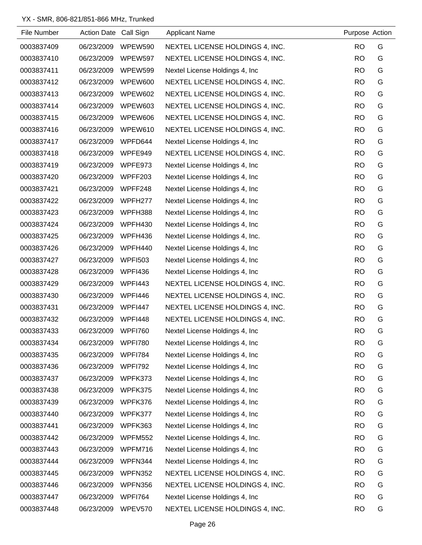| File Number | Action Date Call Sign |                | <b>Applicant Name</b>           | Purpose Action |   |
|-------------|-----------------------|----------------|---------------------------------|----------------|---|
| 0003837409  | 06/23/2009            | WPEW590        | NEXTEL LICENSE HOLDINGS 4, INC. | <b>RO</b>      | G |
| 0003837410  | 06/23/2009            | WPEW597        | NEXTEL LICENSE HOLDINGS 4, INC. | <b>RO</b>      | G |
| 0003837411  | 06/23/2009            | <b>WPEW599</b> | Nextel License Holdings 4, Inc. | <b>RO</b>      | G |
| 0003837412  | 06/23/2009            | WPEW600        | NEXTEL LICENSE HOLDINGS 4, INC. | <b>RO</b>      | G |
| 0003837413  | 06/23/2009            | WPEW602        | NEXTEL LICENSE HOLDINGS 4, INC. | <b>RO</b>      | G |
| 0003837414  | 06/23/2009            | WPEW603        | NEXTEL LICENSE HOLDINGS 4, INC. | <b>RO</b>      | G |
| 0003837415  | 06/23/2009            | WPEW606        | NEXTEL LICENSE HOLDINGS 4, INC. | <b>RO</b>      | G |
| 0003837416  | 06/23/2009            | WPEW610        | NEXTEL LICENSE HOLDINGS 4, INC. | <b>RO</b>      | G |
| 0003837417  | 06/23/2009            | WPFD644        | Nextel License Holdings 4, Inc  | <b>RO</b>      | G |
| 0003837418  | 06/23/2009            | WPFE949        | NEXTEL LICENSE HOLDINGS 4, INC. | <b>RO</b>      | G |
| 0003837419  | 06/23/2009            | WPFE973        | Nextel License Holdings 4, Inc. | <b>RO</b>      | G |
| 0003837420  | 06/23/2009            | WPFF203        | Nextel License Holdings 4, Inc. | <b>RO</b>      | G |
| 0003837421  | 06/23/2009            | WPFF248        | Nextel License Holdings 4, Inc. | <b>RO</b>      | G |
| 0003837422  | 06/23/2009            | WPFH277        | Nextel License Holdings 4, Inc. | <b>RO</b>      | G |
| 0003837423  | 06/23/2009            | WPFH388        | Nextel License Holdings 4, Inc. | <b>RO</b>      | G |
| 0003837424  | 06/23/2009            | WPFH430        | Nextel License Holdings 4, Inc  | <b>RO</b>      | G |
| 0003837425  | 06/23/2009            | WPFH436        | Nextel License Holdings 4, Inc. | <b>RO</b>      | G |
| 0003837426  | 06/23/2009            | WPFH440        | Nextel License Holdings 4, Inc. | <b>RO</b>      | G |
| 0003837427  | 06/23/2009            | <b>WPFI503</b> | Nextel License Holdings 4, Inc  | <b>RO</b>      | G |
| 0003837428  | 06/23/2009            | <b>WPFI436</b> | Nextel License Holdings 4, Inc. | <b>RO</b>      | G |
| 0003837429  | 06/23/2009            | <b>WPFI443</b> | NEXTEL LICENSE HOLDINGS 4, INC. | <b>RO</b>      | G |
| 0003837430  | 06/23/2009            | WPFI446        | NEXTEL LICENSE HOLDINGS 4, INC. | <b>RO</b>      | G |
| 0003837431  | 06/23/2009            | <b>WPFI447</b> | NEXTEL LICENSE HOLDINGS 4, INC. | <b>RO</b>      | G |
| 0003837432  | 06/23/2009            | WPFI448        | NEXTEL LICENSE HOLDINGS 4, INC. | <b>RO</b>      | G |
| 0003837433  | 06/23/2009            | WPFI760        | Nextel License Holdings 4, Inc. | <b>RO</b>      | G |
| 0003837434  | 06/23/2009            | <b>WPFI780</b> | Nextel License Holdings 4, Inc  | <b>RO</b>      | G |
| 0003837435  | 06/23/2009            | <b>WPFI784</b> | Nextel License Holdings 4, Inc  | <b>RO</b>      | G |
| 0003837436  | 06/23/2009            | WPFI792        | Nextel License Holdings 4, Inc. | <b>RO</b>      | G |
| 0003837437  | 06/23/2009            | WPFK373        | Nextel License Holdings 4, Inc  | <b>RO</b>      | G |
| 0003837438  | 06/23/2009            | WPFK375        | Nextel License Holdings 4, Inc. | <b>RO</b>      | G |
| 0003837439  | 06/23/2009            | WPFK376        | Nextel License Holdings 4, Inc  | <b>RO</b>      | G |
| 0003837440  | 06/23/2009            | WPFK377        | Nextel License Holdings 4, Inc  | <b>RO</b>      | G |
| 0003837441  | 06/23/2009            | WPFK363        | Nextel License Holdings 4, Inc  | <b>RO</b>      | G |
| 0003837442  | 06/23/2009            | <b>WPFM552</b> | Nextel License Holdings 4, Inc. | <b>RO</b>      | G |
| 0003837443  | 06/23/2009            | WPFM716        | Nextel License Holdings 4, Inc  | <b>RO</b>      | G |
| 0003837444  | 06/23/2009            | WPFN344        | Nextel License Holdings 4, Inc  | <b>RO</b>      | G |
| 0003837445  | 06/23/2009            | WPFN352        | NEXTEL LICENSE HOLDINGS 4, INC. | <b>RO</b>      | G |
| 0003837446  | 06/23/2009            | WPFN356        | NEXTEL LICENSE HOLDINGS 4, INC. | <b>RO</b>      | G |
| 0003837447  | 06/23/2009            | <b>WPFI764</b> | Nextel License Holdings 4, Inc  | <b>RO</b>      | G |
| 0003837448  | 06/23/2009            | WPEV570        | NEXTEL LICENSE HOLDINGS 4, INC. | <b>RO</b>      | G |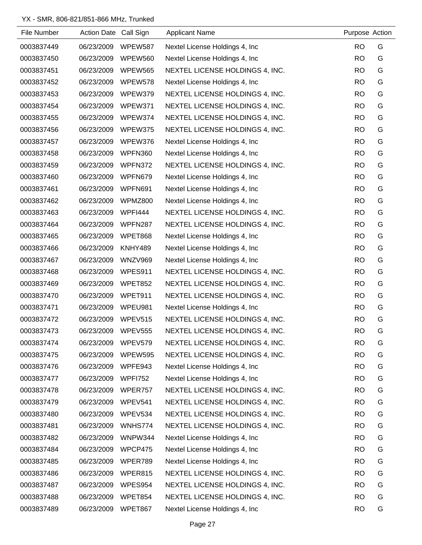| File Number | Action Date Call Sign |                | <b>Applicant Name</b>           | Purpose Action |   |
|-------------|-----------------------|----------------|---------------------------------|----------------|---|
| 0003837449  | 06/23/2009            | <b>WPEW587</b> | Nextel License Holdings 4, Inc. | <b>RO</b>      | G |
| 0003837450  | 06/23/2009            | <b>WPEW560</b> | Nextel License Holdings 4, Inc. | <b>RO</b>      | G |
| 0003837451  | 06/23/2009            | <b>WPEW565</b> | NEXTEL LICENSE HOLDINGS 4, INC. | <b>RO</b>      | G |
| 0003837452  | 06/23/2009            | WPEW578        | Nextel License Holdings 4, Inc. | <b>RO</b>      | G |
| 0003837453  | 06/23/2009            | WPEW379        | NEXTEL LICENSE HOLDINGS 4, INC. | <b>RO</b>      | G |
| 0003837454  | 06/23/2009            | WPEW371        | NEXTEL LICENSE HOLDINGS 4, INC. | <b>RO</b>      | G |
| 0003837455  | 06/23/2009            | WPEW374        | NEXTEL LICENSE HOLDINGS 4, INC. | <b>RO</b>      | G |
| 0003837456  | 06/23/2009            | WPEW375        | NEXTEL LICENSE HOLDINGS 4, INC. | <b>RO</b>      | G |
| 0003837457  | 06/23/2009            | WPEW376        | Nextel License Holdings 4, Inc. | <b>RO</b>      | G |
| 0003837458  | 06/23/2009            | WPFN360        | Nextel License Holdings 4, Inc. | <b>RO</b>      | G |
| 0003837459  | 06/23/2009            | WPFN372        | NEXTEL LICENSE HOLDINGS 4, INC. | <b>RO</b>      | G |
| 0003837460  | 06/23/2009            | WPFN679        | Nextel License Holdings 4, Inc. | <b>RO</b>      | G |
| 0003837461  | 06/23/2009            | WPFN691        | Nextel License Holdings 4, Inc. | <b>RO</b>      | G |
| 0003837462  | 06/23/2009            | WPMZ800        | Nextel License Holdings 4, Inc. | <b>RO</b>      | G |
| 0003837463  | 06/23/2009            | WPFI444        | NEXTEL LICENSE HOLDINGS 4, INC. | <b>RO</b>      | G |
| 0003837464  | 06/23/2009            | WPFN287        | NEXTEL LICENSE HOLDINGS 4, INC. | <b>RO</b>      | G |
| 0003837465  | 06/23/2009            | WPET868        | Nextel License Holdings 4, Inc. | <b>RO</b>      | G |
| 0003837466  | 06/23/2009            | KNHY489        | Nextel License Holdings 4, Inc. | <b>RO</b>      | G |
| 0003837467  | 06/23/2009            | WNZV969        | Nextel License Holdings 4, Inc. | <b>RO</b>      | G |
| 0003837468  | 06/23/2009            | WPES911        | NEXTEL LICENSE HOLDINGS 4, INC. | <b>RO</b>      | G |
| 0003837469  | 06/23/2009            | WPET852        | NEXTEL LICENSE HOLDINGS 4, INC. | <b>RO</b>      | G |
| 0003837470  | 06/23/2009            | WPET911        | NEXTEL LICENSE HOLDINGS 4, INC. | <b>RO</b>      | G |
| 0003837471  | 06/23/2009            | WPEU981        | Nextel License Holdings 4, Inc. | <b>RO</b>      | G |
| 0003837472  | 06/23/2009            | WPEV515        | NEXTEL LICENSE HOLDINGS 4, INC. | <b>RO</b>      | G |
| 0003837473  | 06/23/2009            | <b>WPEV555</b> | NEXTEL LICENSE HOLDINGS 4, INC. | <b>RO</b>      | G |
| 0003837474  | 06/23/2009            | WPEV579        | NEXTEL LICENSE HOLDINGS 4, INC. | <b>RO</b>      | G |
| 0003837475  | 06/23/2009            | <b>WPEW595</b> | NEXTEL LICENSE HOLDINGS 4, INC. | <b>RO</b>      | G |
| 0003837476  | 06/23/2009            | WPFE943        | Nextel License Holdings 4, Inc. | <b>RO</b>      | G |
| 0003837477  | 06/23/2009            | <b>WPFI752</b> | Nextel License Holdings 4, Inc. | <b>RO</b>      | G |
| 0003837478  | 06/23/2009            | WPER757        | NEXTEL LICENSE HOLDINGS 4, INC. | <b>RO</b>      | G |
| 0003837479  | 06/23/2009            | WPEV541        | NEXTEL LICENSE HOLDINGS 4, INC. | <b>RO</b>      | G |
| 0003837480  | 06/23/2009            | WPEV534        | NEXTEL LICENSE HOLDINGS 4, INC. | <b>RO</b>      | G |
| 0003837481  | 06/23/2009            | WNHS774        | NEXTEL LICENSE HOLDINGS 4, INC. | <b>RO</b>      | G |
| 0003837482  | 06/23/2009            | WNPW344        | Nextel License Holdings 4, Inc. | <b>RO</b>      | G |
| 0003837484  | 06/23/2009            | WPCP475        | Nextel License Holdings 4, Inc. | <b>RO</b>      | G |
| 0003837485  | 06/23/2009            | WPER789        | Nextel License Holdings 4, Inc. | <b>RO</b>      | G |
| 0003837486  | 06/23/2009            | WPER815        | NEXTEL LICENSE HOLDINGS 4, INC. | <b>RO</b>      | G |
| 0003837487  | 06/23/2009            | WPES954        | NEXTEL LICENSE HOLDINGS 4, INC. | <b>RO</b>      | G |
| 0003837488  | 06/23/2009            | WPET854        | NEXTEL LICENSE HOLDINGS 4, INC. | <b>RO</b>      | G |
| 0003837489  | 06/23/2009            | WPET867        | Nextel License Holdings 4, Inc. | <b>RO</b>      | G |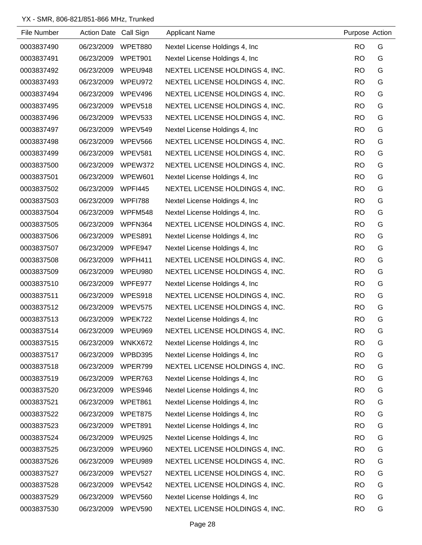| File Number | Action Date Call Sign |                | <b>Applicant Name</b>           | Purpose Action |   |
|-------------|-----------------------|----------------|---------------------------------|----------------|---|
| 0003837490  | 06/23/2009            | WPET880        | Nextel License Holdings 4, Inc. | <b>RO</b>      | G |
| 0003837491  | 06/23/2009            | WPET901        | Nextel License Holdings 4, Inc. | <b>RO</b>      | G |
| 0003837492  | 06/23/2009            | WPEU948        | NEXTEL LICENSE HOLDINGS 4, INC. | <b>RO</b>      | G |
| 0003837493  | 06/23/2009            | WPEU972        | NEXTEL LICENSE HOLDINGS 4, INC. | <b>RO</b>      | G |
| 0003837494  | 06/23/2009            | WPEV496        | NEXTEL LICENSE HOLDINGS 4, INC. | <b>RO</b>      | G |
| 0003837495  | 06/23/2009            | WPEV518        | NEXTEL LICENSE HOLDINGS 4, INC. | <b>RO</b>      | G |
| 0003837496  | 06/23/2009            | WPEV533        | NEXTEL LICENSE HOLDINGS 4, INC. | <b>RO</b>      | G |
| 0003837497  | 06/23/2009            | WPEV549        | Nextel License Holdings 4, Inc. | <b>RO</b>      | G |
| 0003837498  | 06/23/2009            | WPEV566        | NEXTEL LICENSE HOLDINGS 4, INC. | <b>RO</b>      | G |
| 0003837499  | 06/23/2009            | WPEV581        | NEXTEL LICENSE HOLDINGS 4, INC. | <b>RO</b>      | G |
| 0003837500  | 06/23/2009            | WPEW372        | NEXTEL LICENSE HOLDINGS 4, INC. | <b>RO</b>      | G |
| 0003837501  | 06/23/2009            | WPEW601        | Nextel License Holdings 4, Inc. | <b>RO</b>      | G |
| 0003837502  | 06/23/2009            | <b>WPFI445</b> | NEXTEL LICENSE HOLDINGS 4, INC. | <b>RO</b>      | G |
| 0003837503  | 06/23/2009            | <b>WPFI788</b> | Nextel License Holdings 4, Inc. | <b>RO</b>      | G |
| 0003837504  | 06/23/2009            | WPFM548        | Nextel License Holdings 4, Inc. | <b>RO</b>      | G |
| 0003837505  | 06/23/2009            | WPFN364        | NEXTEL LICENSE HOLDINGS 4, INC. | <b>RO</b>      | G |
| 0003837506  | 06/23/2009            | WPES891        | Nextel License Holdings 4, Inc. | <b>RO</b>      | G |
| 0003837507  | 06/23/2009            | WPFE947        | Nextel License Holdings 4, Inc. | <b>RO</b>      | G |
| 0003837508  | 06/23/2009            | WPFH411        | NEXTEL LICENSE HOLDINGS 4, INC. | <b>RO</b>      | G |
| 0003837509  | 06/23/2009            | WPEU980        | NEXTEL LICENSE HOLDINGS 4, INC. | <b>RO</b>      | G |
| 0003837510  | 06/23/2009            | WPFE977        | Nextel License Holdings 4, Inc. | <b>RO</b>      | G |
| 0003837511  | 06/23/2009            | WPES918        | NEXTEL LICENSE HOLDINGS 4, INC. | <b>RO</b>      | G |
| 0003837512  | 06/23/2009            | WPEV575        | NEXTEL LICENSE HOLDINGS 4, INC. | <b>RO</b>      | G |
| 0003837513  | 06/23/2009            | WPEK722        | Nextel License Holdings 4, Inc. | <b>RO</b>      | G |
| 0003837514  | 06/23/2009            | WPEU969        | NEXTEL LICENSE HOLDINGS 4, INC. | <b>RO</b>      | G |
| 0003837515  | 06/23/2009            | WNKX672        | Nextel License Holdings 4, Inc. | <b>RO</b>      | G |
| 0003837517  | 06/23/2009            | WPBD395        | Nextel License Holdings 4, Inc. | <b>RO</b>      | G |
| 0003837518  | 06/23/2009            | WPER799        | NEXTEL LICENSE HOLDINGS 4, INC. | <b>RO</b>      | G |
| 0003837519  | 06/23/2009            | WPER763        | Nextel License Holdings 4, Inc. | <b>RO</b>      | G |
| 0003837520  | 06/23/2009            | WPES946        | Nextel License Holdings 4, Inc. | <b>RO</b>      | G |
| 0003837521  | 06/23/2009            | WPET861        | Nextel License Holdings 4, Inc. | <b>RO</b>      | G |
| 0003837522  | 06/23/2009            | WPET875        | Nextel License Holdings 4, Inc. | <b>RO</b>      | G |
| 0003837523  | 06/23/2009            | WPET891        | Nextel License Holdings 4, Inc. | <b>RO</b>      | G |
| 0003837524  | 06/23/2009            | WPEU925        | Nextel License Holdings 4, Inc. | <b>RO</b>      | G |
| 0003837525  | 06/23/2009            | WPEU960        | NEXTEL LICENSE HOLDINGS 4, INC. | <b>RO</b>      | G |
| 0003837526  | 06/23/2009            | WPEU989        | NEXTEL LICENSE HOLDINGS 4, INC. | <b>RO</b>      | G |
| 0003837527  | 06/23/2009            | WPEV527        | NEXTEL LICENSE HOLDINGS 4, INC. | <b>RO</b>      | G |
| 0003837528  | 06/23/2009            | WPEV542        | NEXTEL LICENSE HOLDINGS 4, INC. | <b>RO</b>      | G |
| 0003837529  | 06/23/2009            | WPEV560        | Nextel License Holdings 4, Inc. | <b>RO</b>      | G |
| 0003837530  | 06/23/2009            | WPEV590        | NEXTEL LICENSE HOLDINGS 4, INC. | <b>RO</b>      | G |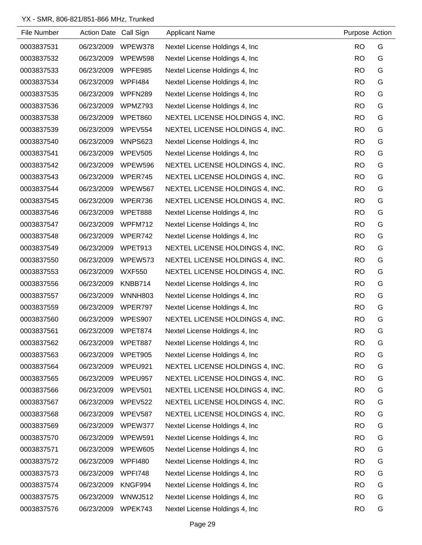| File Number | Action Date Call Sign |                | <b>Applicant Name</b>           | Purpose Action |   |
|-------------|-----------------------|----------------|---------------------------------|----------------|---|
| 0003837531  | 06/23/2009            | WPEW378        | Nextel License Holdings 4, Inc. | <b>RO</b>      | G |
| 0003837532  | 06/23/2009            | WPEW598        | Nextel License Holdings 4, Inc. | <b>RO</b>      | G |
| 0003837533  | 06/23/2009            | WPFE985        | Nextel License Holdings 4, Inc. | <b>RO</b>      | G |
| 0003837534  | 06/23/2009            | WPFI484        | Nextel License Holdings 4, Inc. | <b>RO</b>      | G |
| 0003837535  | 06/23/2009            | WPFN289        | Nextel License Holdings 4, Inc. | <b>RO</b>      | G |
| 0003837536  | 06/23/2009            | WPMZ793        | Nextel License Holdings 4, Inc. | <b>RO</b>      | G |
| 0003837538  | 06/23/2009            | WPET860        | NEXTEL LICENSE HOLDINGS 4, INC. | <b>RO</b>      | G |
| 0003837539  | 06/23/2009            | WPEV554        | NEXTEL LICENSE HOLDINGS 4, INC. | <b>RO</b>      | G |
| 0003837540  | 06/23/2009            | <b>WNPS623</b> | Nextel License Holdings 4, Inc. | <b>RO</b>      | G |
| 0003837541  | 06/23/2009            | <b>WPEV505</b> | Nextel License Holdings 4, Inc. | <b>RO</b>      | G |
| 0003837542  | 06/23/2009            | WPEW596        | NEXTEL LICENSE HOLDINGS 4, INC. | <b>RO</b>      | G |
| 0003837543  | 06/23/2009            | WPER745        | NEXTEL LICENSE HOLDINGS 4, INC. | <b>RO</b>      | G |
| 0003837544  | 06/23/2009            | WPEW567        | NEXTEL LICENSE HOLDINGS 4, INC. | <b>RO</b>      | G |
| 0003837545  | 06/23/2009            | WPER736        | NEXTEL LICENSE HOLDINGS 4, INC. | <b>RO</b>      | G |
| 0003837546  | 06/23/2009            | WPET888        | Nextel License Holdings 4, Inc. | <b>RO</b>      | G |
| 0003837547  | 06/23/2009            | WPFM712        | Nextel License Holdings 4, Inc. | <b>RO</b>      | G |
| 0003837548  | 06/23/2009            | WPER742        | Nextel License Holdings 4, Inc. | <b>RO</b>      | G |
| 0003837549  | 06/23/2009            | WPET913        | NEXTEL LICENSE HOLDINGS 4, INC. | <b>RO</b>      | G |
| 0003837550  | 06/23/2009            | WPEW573        | NEXTEL LICENSE HOLDINGS 4, INC. | <b>RO</b>      | G |
| 0003837553  | 06/23/2009            | <b>WXF550</b>  | NEXTEL LICENSE HOLDINGS 4, INC. | <b>RO</b>      | G |
| 0003837556  | 06/23/2009            | KNBB714        | Nextel License Holdings 4, Inc. | <b>RO</b>      | G |
| 0003837557  | 06/23/2009            | <b>WNNH803</b> | Nextel License Holdings 4, Inc. | <b>RO</b>      | G |
| 0003837559  | 06/23/2009            | WPER797        | Nextel License Holdings 4, Inc. | <b>RO</b>      | G |
| 0003837560  | 06/23/2009            | WPES907        | NEXTEL LICENSE HOLDINGS 4, INC. | <b>RO</b>      | G |
| 0003837561  | 06/23/2009            | WPET874        | Nextel License Holdings 4, Inc. | <b>RO</b>      | G |
| 0003837562  | 06/23/2009            | WPET887        | Nextel License Holdings 4, Inc. | <b>RO</b>      | G |
| 0003837563  | 06/23/2009            | WPET905        | Nextel License Holdings 4, Inc. | <b>RO</b>      | G |
| 0003837564  | 06/23/2009            | WPEU921        | NEXTEL LICENSE HOLDINGS 4, INC. | <b>RO</b>      | G |
| 0003837565  | 06/23/2009            | WPEU957        | NEXTEL LICENSE HOLDINGS 4, INC. | <b>RO</b>      | G |
| 0003837566  | 06/23/2009            | WPEV501        | NEXTEL LICENSE HOLDINGS 4, INC. | <b>RO</b>      | G |
| 0003837567  | 06/23/2009            | WPEV522        | NEXTEL LICENSE HOLDINGS 4, INC. | <b>RO</b>      | G |
| 0003837568  | 06/23/2009            | WPEV587        | NEXTEL LICENSE HOLDINGS 4, INC. | <b>RO</b>      | G |
| 0003837569  | 06/23/2009            | WPEW377        | Nextel License Holdings 4, Inc. | <b>RO</b>      | G |
| 0003837570  | 06/23/2009            | <b>WPEW591</b> | Nextel License Holdings 4, Inc. | <b>RO</b>      | G |
| 0003837571  | 06/23/2009            | <b>WPEW605</b> | Nextel License Holdings 4, Inc. | <b>RO</b>      | G |
| 0003837572  | 06/23/2009            | WPFI480        | Nextel License Holdings 4, Inc. | <b>RO</b>      | G |
| 0003837573  | 06/23/2009            | WPFI748        | Nextel License Holdings 4, Inc. | <b>RO</b>      | G |
| 0003837574  | 06/23/2009            | KNGF994        | Nextel License Holdings 4, Inc. | <b>RO</b>      | G |
| 0003837575  | 06/23/2009            | <b>WNWJ512</b> | Nextel License Holdings 4, Inc. | <b>RO</b>      | G |
| 0003837576  | 06/23/2009            | WPEK743        | Nextel License Holdings 4, Inc. | <b>RO</b>      | G |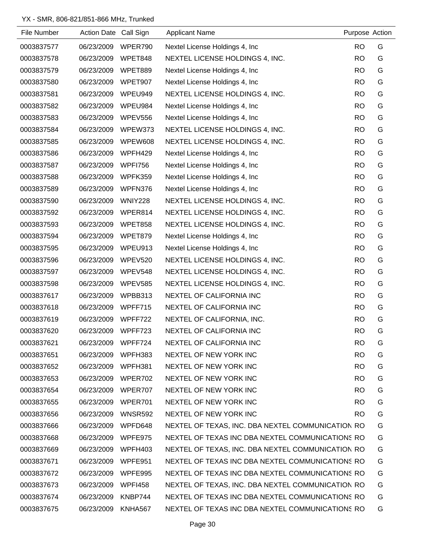| File Number | Action Date Call Sign |                | <b>Applicant Name</b>                             | Purpose Action |   |
|-------------|-----------------------|----------------|---------------------------------------------------|----------------|---|
| 0003837577  | 06/23/2009            | WPER790        | Nextel License Holdings 4, Inc.                   | <b>RO</b>      | G |
| 0003837578  | 06/23/2009            | WPET848        | NEXTEL LICENSE HOLDINGS 4, INC.                   | <b>RO</b>      | G |
| 0003837579  | 06/23/2009            | WPET889        | Nextel License Holdings 4, Inc.                   | <b>RO</b>      | G |
| 0003837580  | 06/23/2009            | WPET907        | Nextel License Holdings 4, Inc.                   | <b>RO</b>      | G |
| 0003837581  | 06/23/2009            | WPEU949        | NEXTEL LICENSE HOLDINGS 4, INC.                   | <b>RO</b>      | G |
| 0003837582  | 06/23/2009            | WPEU984        | Nextel License Holdings 4, Inc.                   | <b>RO</b>      | G |
| 0003837583  | 06/23/2009            | WPEV556        | Nextel License Holdings 4, Inc.                   | <b>RO</b>      | G |
| 0003837584  | 06/23/2009            | WPEW373        | NEXTEL LICENSE HOLDINGS 4, INC.                   | <b>RO</b>      | G |
| 0003837585  | 06/23/2009            | WPEW608        | NEXTEL LICENSE HOLDINGS 4, INC.                   | <b>RO</b>      | G |
| 0003837586  | 06/23/2009            | WPFH429        | Nextel License Holdings 4, Inc.                   | <b>RO</b>      | G |
| 0003837587  | 06/23/2009            | <b>WPFI756</b> | Nextel License Holdings 4, Inc.                   | <b>RO</b>      | G |
| 0003837588  | 06/23/2009            | WPFK359        | Nextel License Holdings 4, Inc.                   | <b>RO</b>      | G |
| 0003837589  | 06/23/2009            | WPFN376        | Nextel License Holdings 4, Inc.                   | <b>RO</b>      | G |
| 0003837590  | 06/23/2009            | <b>WNIY228</b> | NEXTEL LICENSE HOLDINGS 4, INC.                   | <b>RO</b>      | G |
| 0003837592  | 06/23/2009            | WPER814        | NEXTEL LICENSE HOLDINGS 4, INC.                   | <b>RO</b>      | G |
| 0003837593  | 06/23/2009            | WPET858        | NEXTEL LICENSE HOLDINGS 4, INC.                   | <b>RO</b>      | G |
| 0003837594  | 06/23/2009            | WPET879        | Nextel License Holdings 4, Inc.                   | <b>RO</b>      | G |
| 0003837595  | 06/23/2009            | WPEU913        | Nextel License Holdings 4, Inc.                   | <b>RO</b>      | G |
| 0003837596  | 06/23/2009            | WPEV520        | NEXTEL LICENSE HOLDINGS 4, INC.                   | <b>RO</b>      | G |
| 0003837597  | 06/23/2009            | WPEV548        | NEXTEL LICENSE HOLDINGS 4, INC.                   | <b>RO</b>      | G |
| 0003837598  | 06/23/2009            | WPEV585        | NEXTEL LICENSE HOLDINGS 4, INC.                   | <b>RO</b>      | G |
| 0003837617  | 06/23/2009            | WPBB313        | NEXTEL OF CALIFORNIA INC                          | <b>RO</b>      | G |
| 0003837618  | 06/23/2009            | WPFF715        | NEXTEL OF CALIFORNIA INC                          | <b>RO</b>      | G |
| 0003837619  | 06/23/2009            | WPFF722        | NEXTEL OF CALIFORNIA, INC.                        | <b>RO</b>      | G |
| 0003837620  | 06/23/2009            | WPFF723        | NEXTEL OF CALIFORNIA INC                          | <b>RO</b>      | G |
| 0003837621  | 06/23/2009            | WPFF724        | NEXTEL OF CALIFORNIA INC                          | RO.            | G |
| 0003837651  | 06/23/2009            | WPFH383        | NEXTEL OF NEW YORK INC                            | <b>RO</b>      | G |
| 0003837652  | 06/23/2009            | WPFH381        | NEXTEL OF NEW YORK INC                            | RO.            | G |
| 0003837653  | 06/23/2009            | WPER702        | NEXTEL OF NEW YORK INC                            | RO.            | G |
| 0003837654  | 06/23/2009            | WPER707        | NEXTEL OF NEW YORK INC                            | <b>RO</b>      | G |
| 0003837655  | 06/23/2009            | WPER701        | NEXTEL OF NEW YORK INC                            | <b>RO</b>      | G |
| 0003837656  | 06/23/2009            | WNSR592        | NEXTEL OF NEW YORK INC                            | <b>RO</b>      | G |
| 0003837666  | 06/23/2009            | WPFD648        | NEXTEL OF TEXAS, INC. DBA NEXTEL COMMUNICATION RO |                | G |
| 0003837668  | 06/23/2009            | WPFE975        | NEXTEL OF TEXAS INC DBA NEXTEL COMMUNICATIONS RO  |                | G |
| 0003837669  | 06/23/2009            | WPFH403        | NEXTEL OF TEXAS, INC. DBA NEXTEL COMMUNICATION RO |                | G |
| 0003837671  | 06/23/2009            | WPFE951        | NEXTEL OF TEXAS INC DBA NEXTEL COMMUNICATIONS RO  |                | G |
| 0003837672  | 06/23/2009            | WPFE995        | NEXTEL OF TEXAS INC DBA NEXTEL COMMUNICATIONS RO  |                | G |
| 0003837673  | 06/23/2009            | WPFI458        | NEXTEL OF TEXAS, INC. DBA NEXTEL COMMUNICATION RO |                | G |
| 0003837674  | 06/23/2009            | KNBP744        | NEXTEL OF TEXAS INC DBA NEXTEL COMMUNICATIONS RO  |                | G |
| 0003837675  | 06/23/2009            | KNHA567        | NEXTEL OF TEXAS INC DBA NEXTEL COMMUNICATIONS RO  |                | G |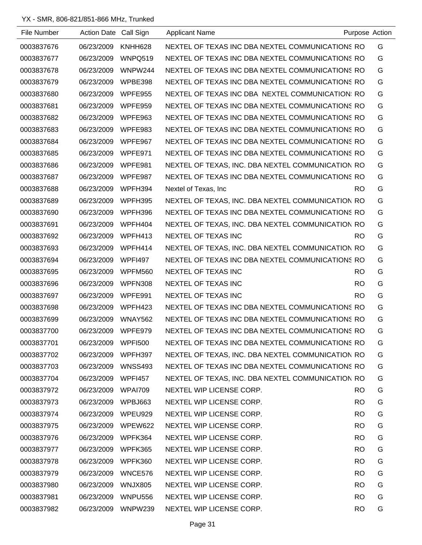| File Number | <b>Action Date</b> | Call Sign      | <b>Applicant Name</b>                             |           | Purpose Action |
|-------------|--------------------|----------------|---------------------------------------------------|-----------|----------------|
| 0003837676  | 06/23/2009         | KNHH628        | NEXTEL OF TEXAS INC DBA NEXTEL COMMUNICATIONS RO  |           | G              |
| 0003837677  | 06/23/2009         | WNPQ519        | NEXTEL OF TEXAS INC DBA NEXTEL COMMUNICATIONS RO  |           | G              |
| 0003837678  | 06/23/2009         | WNPW244        | NEXTEL OF TEXAS INC DBA NEXTEL COMMUNICATIONS RO  |           | G              |
| 0003837679  | 06/23/2009         | WPBE398        | NEXTEL OF TEXAS INC DBA NEXTEL COMMUNICATIONS RO  |           | G              |
| 0003837680  | 06/23/2009         | WPFE955        | NEXTEL OF TEXAS INC DBA NEXTEL COMMUNICATION: RO  |           | G              |
| 0003837681  | 06/23/2009         | WPFE959        | NEXTEL OF TEXAS INC DBA NEXTEL COMMUNICATIONS RO  |           | G              |
| 0003837682  | 06/23/2009         | WPFE963        | NEXTEL OF TEXAS INC DBA NEXTEL COMMUNICATIONS RO  |           | G              |
| 0003837683  | 06/23/2009         | WPFE983        | NEXTEL OF TEXAS INC DBA NEXTEL COMMUNICATIONS RO  |           | G              |
| 0003837684  | 06/23/2009         | WPFE967        | NEXTEL OF TEXAS INC DBA NEXTEL COMMUNICATIONS RO  |           | G              |
| 0003837685  | 06/23/2009         | WPFE971        | NEXTEL OF TEXAS INC DBA NEXTEL COMMUNICATIONS RO  |           | G              |
| 0003837686  | 06/23/2009         | WPFE981        | NEXTEL OF TEXAS, INC. DBA NEXTEL COMMUNICATION RO |           | G              |
| 0003837687  | 06/23/2009         | WPFE987        | NEXTEL OF TEXAS INC DBA NEXTEL COMMUNICATIONS RO  |           | G              |
| 0003837688  | 06/23/2009         | WPFH394        | Nextel of Texas, Inc                              | RO.       | G              |
| 0003837689  | 06/23/2009         | WPFH395        | NEXTEL OF TEXAS, INC. DBA NEXTEL COMMUNICATION RO |           | G              |
| 0003837690  | 06/23/2009         | WPFH396        | NEXTEL OF TEXAS INC DBA NEXTEL COMMUNICATIONS RO  |           | G              |
| 0003837691  | 06/23/2009         | WPFH404        | NEXTEL OF TEXAS, INC. DBA NEXTEL COMMUNICATION RO |           | G              |
| 0003837692  | 06/23/2009         | WPFH413        | NEXTEL OF TEXAS INC                               | <b>RO</b> | G              |
| 0003837693  | 06/23/2009         | WPFH414        | NEXTEL OF TEXAS, INC. DBA NEXTEL COMMUNICATION RO |           | G              |
| 0003837694  | 06/23/2009         | <b>WPFI497</b> | NEXTEL OF TEXAS INC DBA NEXTEL COMMUNICATIONS RO  |           | G              |
| 0003837695  | 06/23/2009         | WPFM560        | NEXTEL OF TEXAS INC                               | RO.       | G              |
| 0003837696  | 06/23/2009         | WPFN308        | NEXTEL OF TEXAS INC                               | RO.       | G              |
| 0003837697  | 06/23/2009         | WPFE991        | NEXTEL OF TEXAS INC                               | <b>RO</b> | G              |
| 0003837698  | 06/23/2009         | WPFH423        | NEXTEL OF TEXAS INC DBA NEXTEL COMMUNICATIONS RO  |           | G              |
| 0003837699  | 06/23/2009         | <b>WNAY562</b> | NEXTEL OF TEXAS INC DBA NEXTEL COMMUNICATIONS RO  |           | G              |
| 0003837700  | 06/23/2009         | WPFE979        | NEXTEL OF TEXAS INC DBA NEXTEL COMMUNICATIONS RO  |           | G              |
| 0003837701  | 06/23/2009         | WPFI500        | NEXTEL OF TEXAS INC DBA NEXTEL COMMUNICATIONS RO  |           | G              |
| 0003837702  | 06/23/2009         | WPFH397        | NEXTEL OF TEXAS, INC. DBA NEXTEL COMMUNICATION RO |           | G              |
| 0003837703  | 06/23/2009         | WNSS493        | NEXTEL OF TEXAS INC DBA NEXTEL COMMUNICATIONS RO  |           | G              |
| 0003837704  | 06/23/2009         | WPFI457        | NEXTEL OF TEXAS, INC. DBA NEXTEL COMMUNICATION RO |           | G              |
| 0003837972  | 06/23/2009         | WPAI709        | NEXTEL WIP LICENSE CORP.                          | <b>RO</b> | G              |
| 0003837973  | 06/23/2009         | WPBJ663        | NEXTEL WIP LICENSE CORP.                          | <b>RO</b> | G              |
| 0003837974  | 06/23/2009         | WPEU929        | NEXTEL WIP LICENSE CORP.                          | <b>RO</b> | G              |
| 0003837975  | 06/23/2009         | WPEW622        | NEXTEL WIP LICENSE CORP.                          | <b>RO</b> | G              |
| 0003837976  | 06/23/2009         | WPFK364        | NEXTEL WIP LICENSE CORP.                          | <b>RO</b> | G              |
| 0003837977  | 06/23/2009         | WPFK365        | NEXTEL WIP LICENSE CORP.                          | <b>RO</b> | G              |
| 0003837978  | 06/23/2009         | WPFK360        | NEXTEL WIP LICENSE CORP.                          | <b>RO</b> | G              |
| 0003837979  | 06/23/2009         | WNCE576        | NEXTEL WIP LICENSE CORP.                          | <b>RO</b> | G              |
| 0003837980  | 06/23/2009         | WNJX805        | NEXTEL WIP LICENSE CORP.                          | <b>RO</b> | G              |
| 0003837981  | 06/23/2009         | WNPU556        | NEXTEL WIP LICENSE CORP.                          | <b>RO</b> | G              |
| 0003837982  | 06/23/2009 WNPW239 |                | NEXTEL WIP LICENSE CORP.                          | <b>RO</b> | G              |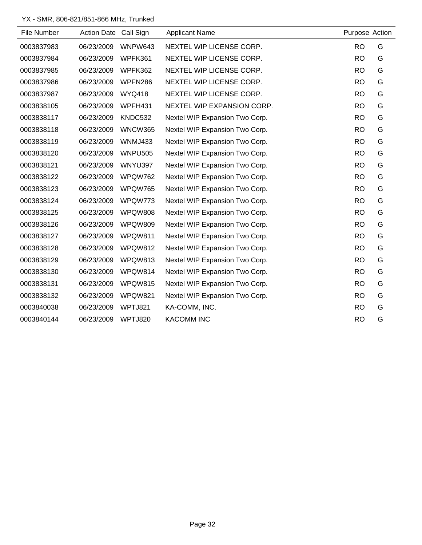| File Number | Action Date Call Sign |                | <b>Applicant Name</b>          | Purpose Action |   |
|-------------|-----------------------|----------------|--------------------------------|----------------|---|
| 0003837983  | 06/23/2009            | WNPW643        | NEXTEL WIP LICENSE CORP.       | <b>RO</b>      | G |
| 0003837984  | 06/23/2009            | WPFK361        | NEXTEL WIP LICENSE CORP.       | <b>RO</b>      | G |
| 0003837985  | 06/23/2009            | WPFK362        | NEXTEL WIP LICENSE CORP.       | <b>RO</b>      | G |
| 0003837986  | 06/23/2009            | WPFN286        | NEXTEL WIP LICENSE CORP.       | <b>RO</b>      | G |
| 0003837987  | 06/23/2009            | <b>WYQ418</b>  | NEXTEL WIP LICENSE CORP.       | <b>RO</b>      | G |
| 0003838105  | 06/23/2009            | WPFH431        | NEXTEL WIP EXPANSION CORP.     | <b>RO</b>      | G |
| 0003838117  | 06/23/2009            | KNDC532        | Nextel WIP Expansion Two Corp. | <b>RO</b>      | G |
| 0003838118  | 06/23/2009            | <b>WNCW365</b> | Nextel WIP Expansion Two Corp. | <b>RO</b>      | G |
| 0003838119  | 06/23/2009            | WNMJ433        | Nextel WIP Expansion Two Corp. | <b>RO</b>      | G |
| 0003838120  | 06/23/2009            | <b>WNPU505</b> | Nextel WIP Expansion Two Corp. | <b>RO</b>      | G |
| 0003838121  | 06/23/2009            | WNYU397        | Nextel WIP Expansion Two Corp. | <b>RO</b>      | G |
| 0003838122  | 06/23/2009            | WPQW762        | Nextel WIP Expansion Two Corp. | <b>RO</b>      | G |
| 0003838123  | 06/23/2009            | WPQW765        | Nextel WIP Expansion Two Corp. | <b>RO</b>      | G |
| 0003838124  | 06/23/2009            | WPQW773        | Nextel WIP Expansion Two Corp. | <b>RO</b>      | G |
| 0003838125  | 06/23/2009            | <b>WPQW808</b> | Nextel WIP Expansion Two Corp. | <b>RO</b>      | G |
| 0003838126  | 06/23/2009            | WPQW809        | Nextel WIP Expansion Two Corp. | <b>RO</b>      | G |
| 0003838127  | 06/23/2009            | WPQW811        | Nextel WIP Expansion Two Corp. | <b>RO</b>      | G |
| 0003838128  | 06/23/2009            | WPQW812        | Nextel WIP Expansion Two Corp. | <b>RO</b>      | G |
| 0003838129  | 06/23/2009            | WPQW813        | Nextel WIP Expansion Two Corp. | <b>RO</b>      | G |
| 0003838130  | 06/23/2009            | WPQW814        | Nextel WIP Expansion Two Corp. | <b>RO</b>      | G |
| 0003838131  | 06/23/2009            | WPQW815        | Nextel WIP Expansion Two Corp. | <b>RO</b>      | G |
| 0003838132  | 06/23/2009            | WPQW821        | Nextel WIP Expansion Two Corp. | <b>RO</b>      | G |
| 0003840038  | 06/23/2009            | WPTJ821        | KA-COMM, INC.                  | <b>RO</b>      | G |
| 0003840144  | 06/23/2009            | WPTJ820        | <b>KACOMM INC</b>              | <b>RO</b>      | G |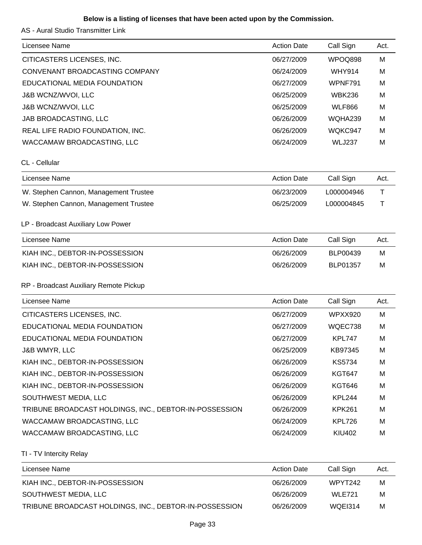### **Below is a listing of licenses that have been acted upon by the Commission.**

AS - Aural Studio Transmitter Link

| Licensee Name                                          | <b>Action Date</b> | Call Sign       | Act. |
|--------------------------------------------------------|--------------------|-----------------|------|
| CITICASTERS LICENSES, INC.                             | 06/27/2009         | WPOQ898         | M    |
| CONVENANT BROADCASTING COMPANY                         | 06/24/2009         | <b>WHY914</b>   | M    |
| EDUCATIONAL MEDIA FOUNDATION                           | 06/27/2009         | WPNF791         | м    |
| <b>J&amp;B WCNZ/WVOI, LLC</b>                          | 06/25/2009         | <b>WBK236</b>   | M    |
| <b>J&amp;B WCNZ/WVOI, LLC</b>                          | 06/25/2009         | <b>WLF866</b>   | M    |
| JAB BROADCASTING, LLC                                  | 06/26/2009         | WQHA239         | M    |
| REAL LIFE RADIO FOUNDATION, INC.                       | 06/26/2009         | WQKC947         | M    |
| WACCAMAW BROADCASTING, LLC                             | 06/24/2009         | <b>WLJ237</b>   | M    |
| CL - Cellular                                          |                    |                 |      |
| Licensee Name                                          | <b>Action Date</b> | Call Sign       | Act. |
| W. Stephen Cannon, Management Trustee                  | 06/23/2009         | L000004946      | Τ    |
| W. Stephen Cannon, Management Trustee                  | 06/25/2009         | L000004845      | Τ    |
| LP - Broadcast Auxiliary Low Power                     |                    |                 |      |
| Licensee Name                                          | <b>Action Date</b> | Call Sign       | Act. |
| KIAH INC., DEBTOR-IN-POSSESSION                        | 06/26/2009         | <b>BLP00439</b> | M    |
| KIAH INC., DEBTOR-IN-POSSESSION                        | 06/26/2009         | BLP01357        | M    |
| RP - Broadcast Auxiliary Remote Pickup                 |                    |                 |      |
| Licensee Name                                          | <b>Action Date</b> | Call Sign       | Act. |
| CITICASTERS LICENSES, INC.                             | 06/27/2009         | <b>WPXX920</b>  | M    |
| EDUCATIONAL MEDIA FOUNDATION                           | 06/27/2009         | WQEC738         | M    |
| EDUCATIONAL MEDIA FOUNDATION                           | 06/27/2009         | <b>KPL747</b>   | M    |
| <b>J&amp;B WMYR, LLC</b>                               | 06/25/2009         | KB97345         | M    |
| KIAH INC., DEBTOR-IN-POSSESSION                        | 06/26/2009         | KS5734          | M    |
| KIAH INC., DEBTOR-IN-POSSESSION                        | 06/26/2009         | <b>KGT647</b>   | M    |
| KIAH INC., DEBTOR-IN-POSSESSION                        | 06/26/2009         | <b>KGT646</b>   | м    |
| SOUTHWEST MEDIA, LLC                                   | 06/26/2009         | KPL244          | M    |
| TRIBUNE BROADCAST HOLDINGS, INC., DEBTOR-IN-POSSESSION | 06/26/2009         | <b>KPK261</b>   | м    |
| WACCAMAW BROADCASTING, LLC                             | 06/24/2009         | KPL726          | м    |
| WACCAMAW BROADCASTING, LLC                             | 06/24/2009         | <b>KIU402</b>   | M    |
|                                                        |                    |                 |      |

TI - TV Intercity Relay

| Licensee Name                                          | <b>Action Date</b> | Call Sign | Act. |
|--------------------------------------------------------|--------------------|-----------|------|
| KIAH INC., DEBTOR-IN-POSSESSION                        | 06/26/2009         | WPYT242   | м    |
| SOUTHWEST MEDIA, LLC                                   | 06/26/2009         | WLE721    | м    |
| TRIBUNE BROADCAST HOLDINGS, INC., DEBTOR-IN-POSSESSION | 06/26/2009         | WQEI314   | м    |